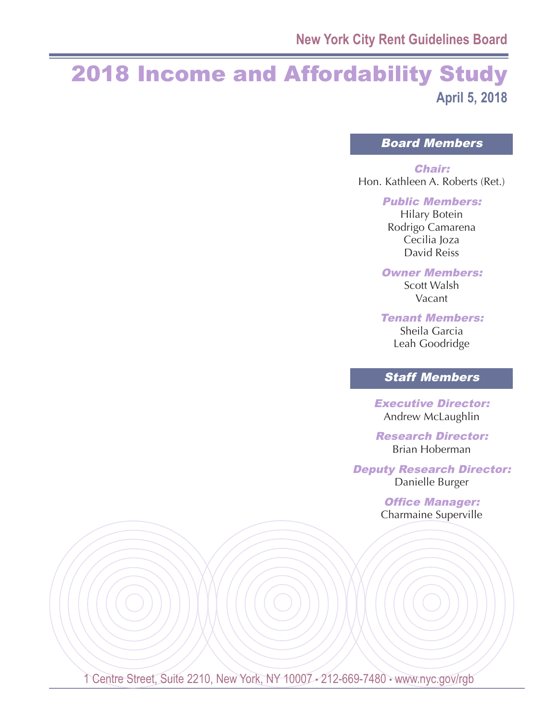## 2018 Income and Affordability Study **April 5, 2018**

Board Members

Chair: Hon. Kathleen A. Roberts (Ret.)

Public Members:

Hilary Botein Rodrigo Camarena Cecilia Joza David Reiss

Owner Members: Scott Walsh

Vacant

Tenant Members:

Sheila Garcia Leah Goodridge

## Staff Members

Executive Director: Andrew McLaughlin

Research Director: Brian Hoberman

Deputy Research Director: Danielle Burger

> Office Manager: Charmaine Superville

1 Centre Street, Suite 2210, New York, NY 10007 - 212-669-7480 · www.nyc.gov/rgb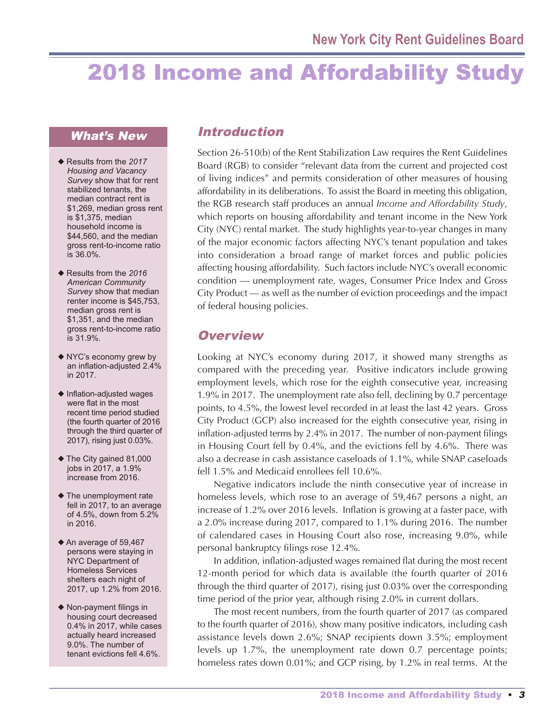# 2018 Income and Affordability Study

#### What's New

- ◆ Results from the *2017 Housing and Vacancy Survey* show that for rent stabilized tenants, the median contract rent is \$1,269, median gross rent is \$1,375, median household income is \$44,560, and the median gross rent-to-income ratio is 36.0%.
- ◆ Results from the *2016 American Community Survey* show that median renter income is \$45,753, median gross rent is \$1,351, and the median gross rent-to-income ratio is 31.9%.
- ◆ NYC's economy grew by an inflation-adjusted 2.4% in 2017.
- ◆ Inflation-adjusted wages were flat in the most recent time period studied (the fourth quarter of 2016 through the third quarter of 2017), rising just 0.03%.
- ◆ The City gained 81,000 jobs in 2017, a 1.9% increase from 2016.
- ◆ The unemployment rate fell in 2017, to an average of 4.5%, down from 5.2% in 2016.
- ◆ An average of 59,467 persons were staying in NYC Department of Homeless Services shelters each night of 2017, up 1.2% from 2016.
- ◆ Non-payment filings in housing court decreased 0.4% in 2017, while cases actually heard increased 9.0%. The number of tenant evictions fell 4.6%.

## Introduction

Section 26-510(b) of the Rent Stabilization Law requires the Rent Guidelines Board (RGB) to consider "relevant data from the current and projected cost of living indices" and permits consideration of other measures of housing affordability in its deliberations. To assist the Board in meeting this obligation, the RGB research staff produces an annual *Income and Affordability Study*, which reports on housing affordability and tenant income in the New York City (NYC) rental market. The study highlights year-to-year changes in many of the major economic factors affecting NYC's tenant population and takes into consideration a broad range of market forces and public policies affecting housing affordability. Such factors include NYC's overall economic condition — unemployment rate, wages, Consumer Price Index and Gross City Product — as well as the number of eviction proceedings and the impact of federal housing policies.

## **Overview**

Looking at NYC's economy during 2017, it showed many strengths as compared with the preceding year. Positive indicators include growing employment levels, which rose for the eighth consecutive year, increasing 1.9% in 2017. The unemployment rate also fell, declining by 0.7 percentage points, to 4.5%, the lowest level recorded in at least the last 42 years. Gross City Product (GCP) also increased for the eighth consecutive year, rising in inflation-adjusted terms by 2.4% in 2017. The number of non-payment filings in Housing Court fell by 0.4%, and the evictions fell by 4.6%. There was also a decrease in cash assistance caseloads of 1.1%, while SNAP caseloads fell 1.5% and Medicaid enrollees fell 10.6%.

Negative indicators include the ninth consecutive year of increase in homeless levels, which rose to an average of 59,467 persons a night, an increase of 1.2% over 2016 levels. Inflation is growing at a faster pace, with a 2.0% increase during 2017, compared to 1.1% during 2016. The number of calendared cases in Housing Court also rose, increasing 9.0%, while personal bankruptcy filings rose 12.4%.

In addition, inflation-adjusted wages remained flat during the most recent 12-month period for which data is available (the fourth quarter of 2016 through the third quarter of 2017), rising just 0.03% over the corresponding time period of the prior year, although rising 2.0% in current dollars.

The most recent numbers, from the fourth quarter of 2017 (as compared to the fourth quarter of 2016), show many positive indicators, including cash assistance levels down 2.6%; SNAP recipients down 3.5%; employment levels up 1.7%, the unemployment rate down 0.7 percentage points; homeless rates down 0.01%; and GCP rising, by 1.2% in real terms. At the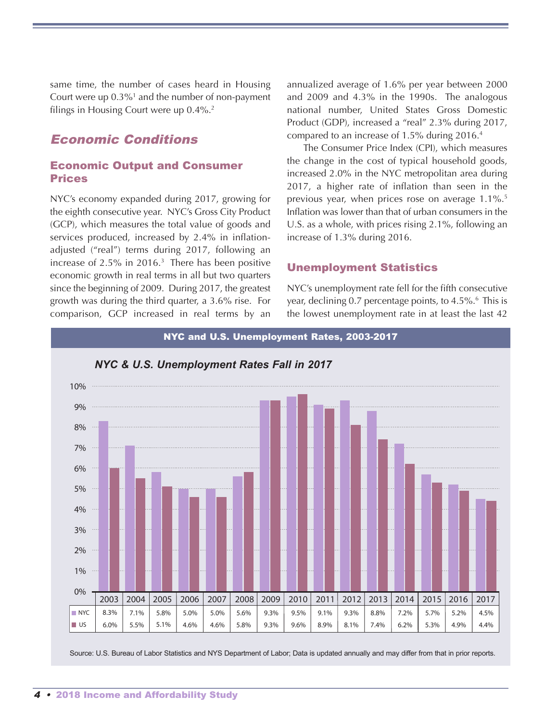same time, the number of cases heard in Housing Court were up  $0.3\%$ <sup>1</sup> and the number of non-payment filings in Housing Court were up 0.4%. 2

## Economic Conditions

#### Economic Output and Consumer Prices

NYC's economy expanded during 2017, growing for the eighth consecutive year. NYC's Gross City Product (GCP), which measures the total value of goods and services produced, increased by 2.4% in inflationadjusted ("real") terms during 2017, following an increase of 2.5% in 2016. <sup>3</sup> There has been positive economic growth in real terms in all but two quarters since the beginning of 2009. During 2017, the greatest growth was during the third quarter, a 3.6% rise. For comparison, GCP increased in real terms by an

annualized average of 1.6% per year between 2000 and 2009 and 4.3% in the 1990s. The analogous national number, United States Gross Domestic Product (GDP), increased a "real" 2.3% during 2017, compared to an increase of 1.5% during 2016. 4

The Consumer Price Index (CPI), which measures the change in the cost of typical household goods, increased 2.0% in the NYC metropolitan area during 2017, a higher rate of inflation than seen in the previous year, when prices rose on average 1.1%. 5 Inflation was lower than that of urban consumers in the U.S. as a whole, with prices rising 2.1%, following an increase of 1.3% during 2016.

#### Unemployment Statistics

NYC's unemployment rate fell for the fifth consecutive year, declining 0.7 percentage points, to 4.5%. <sup>6</sup> This is the lowest unemployment rate in at least the last 42



Source: U.S. Bureau of Labor Statistics and NYS Department of Labor; Data is updated annually and may differ from that in prior reports.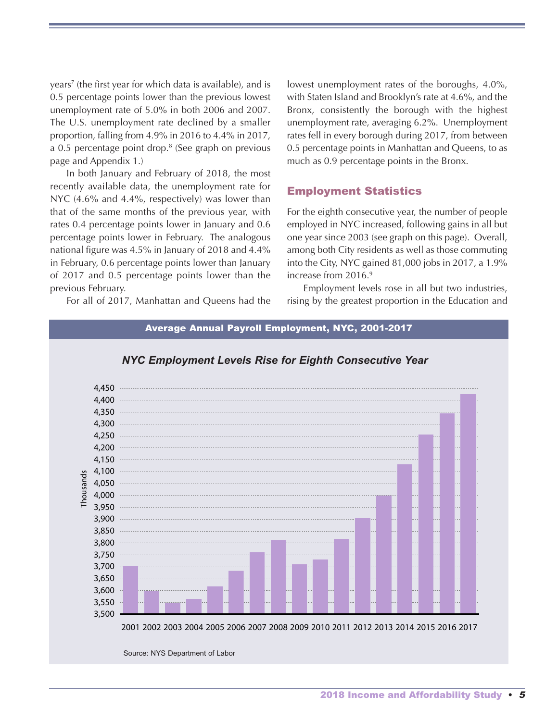years<sup>7</sup> (the first year for which data is available), and is 0.5 percentage points lower than the previous lowest unemployment rate of 5.0% in both 2006 and 2007. The U.S. unemployment rate declined by a smaller proportion, falling from 4.9% in 2016 to 4.4% in 2017, a 0.5 percentage point drop. <sup>8</sup> (See graph on previous page and Appendix 1.)

In both January and February of 2018, the most recently available data, the unemployment rate for NYC (4.6% and 4.4%, respectively) was lower than that of the same months of the previous year, with rates 0.4 percentage points lower in January and 0.6 percentage points lower in February. The analogous national figure was 4.5% in January of 2018 and 4.4% in February, 0.6 percentage points lower than January of 2017 and 0.5 percentage points lower than the previous February.

For all of 2017, Manhattan and Queens had the

lowest unemployment rates of the boroughs, 4.0%, with Staten Island and Brooklyn's rate at 4.6%, and the Bronx, consistently the borough with the highest unemployment rate, averaging 6.2%. Unemployment rates fell in every borough during 2017, from between 0.5 percentage points in Manhattan and Queens, to as much as 0.9 percentage points in the Bronx.

#### Employment Statistics

For the eighth consecutive year, the number of people employed in NYC increased, following gains in all but one year since 2003 (see graph on this page). Overall, among both City residents as well as those commuting into the City, NYC gained 81,000 jobs in 2017, a 1.9% increase from 2016. 9

Employment levels rose in all but two industries, rising by the greatest proportion in the Education and

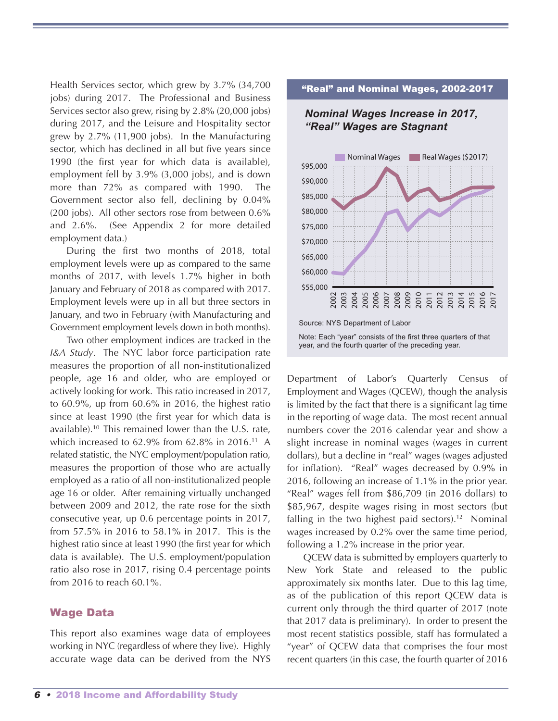Health Services sector, which grew by 3.7% (34,700 jobs) during 2017. The Professional and Business Services sector also grew, rising by 2.8% (20,000 jobs) during 2017, and the Leisure and Hospitality sector grew by 2.7% (11,900 jobs). In the Manufacturing sector, which has declined in all but five years since 1990 (the first year for which data is available), employment fell by 3.9% (3,000 jobs), and is down more than 72% as compared with 1990. The Government sector also fell, declining by 0.04% (200 jobs). All other sectors rose from between 0.6% and 2.6%. (See Appendix 2 for more detailed employment data.)

During the first two months of 2018, total employment levels were up as compared to the same months of 2017, with levels 1.7% higher in both January and February of 2018 as compared with 2017. Employment levels were up in all but three sectors in January, and two in February (with Manufacturing and Government employment levels down in both months).

Two other employment indices are tracked in the *I&A Study*. The NYC labor force participation rate measures the proportion of all non-institutionalized people, age 16 and older, who are employed or actively looking for work. This ratio increased in 2017, to 60.9%, up from 60.6% in 2016, the highest ratio since at least 1990 (the first year for which data is available). <sup>10</sup> This remained lower than the U.S. rate, which increased to 62.9% from 62.8% in 2016. <sup>11</sup> A related statistic, the NYC employment/population ratio, measures the proportion of those who are actually employed as a ratio of all non-institutionalized people age 16 or older. After remaining virtually unchanged between 2009 and 2012, the rate rose for the sixth consecutive year, up 0.6 percentage points in 2017, from 57.5% in 2016 to 58.1% in 2017. This is the highest ratio since at least 1990 (the first year for which data is available). The U.S. employment/population ratio also rose in 2017, rising 0.4 percentage points from 2016 to reach 60.1%.

#### Wage Data

This report also examines wage data of employees working in NYC (regardless of where they live). Highly accurate wage data can be derived from the NYS

#### "Real" and Nominal Wages, 2002-2017

#### *Nominal Wages Increase in 2017, "Real" Wages are Stagnant*



Note: Each "year" consists of the first three quarters of that year, and the fourth quarter of the preceding year.

Department of Labor's Quarterly Census of Employment and Wages (QCEW), though the analysis is limited by the fact that there is a significant lag time in the reporting of wage data. The most recent annual numbers cover the 2016 calendar year and show a slight increase in nominal wages (wages in current dollars), but a decline in "real" wages (wages adjusted for inflation). "Real" wages decreased by 0.9% in 2016, following an increase of 1.1% in the prior year. "Real" wages fell from \$86,709 (in 2016 dollars) to \$85,967, despite wages rising in most sectors (but falling in the two highest paid sectors).<sup>12</sup> Nominal wages increased by 0.2% over the same time period, following a 1.2% increase in the prior year.

QCEW data is submitted by employers quarterly to New York State and released to the public approximately six months later. Due to this lag time, as of the publication of this report QCEW data is current only through the third quarter of 2017 (note that 2017 data is preliminary). In order to present the most recent statistics possible, staff has formulated a "year" of QCEW data that comprises the four most recent quarters (in this case, the fourth quarter of 2016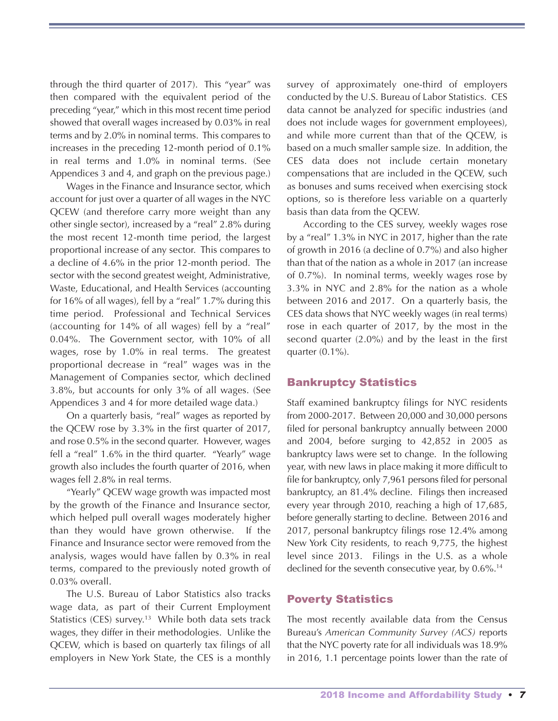through the third quarter of 2017). This "year" was then compared with the equivalent period of the preceding "year," which in this most recent time period showed that overall wages increased by 0.03% in real terms and by 2.0% in nominal terms. This compares to increases in the preceding 12-month period of 0.1% in real terms and 1.0% in nominal terms. (See Appendices 3 and 4, and graph on the previous page.)

Wages in the Finance and Insurance sector, which account for just over a quarter of all wages in the NYC QCEW (and therefore carry more weight than any other single sector), increased by a "real" 2.8% during the most recent 12-month time period, the largest proportional increase of any sector. This compares to a decline of 4.6% in the prior 12-month period. The sector with the second greatest weight, Administrative, Waste, Educational, and Health Services (accounting for 16% of all wages), fell by a "real" 1.7% during this time period. Professional and Technical Services (accounting for 14% of all wages) fell by a "real" 0.04%. The Government sector, with 10% of all wages, rose by 1.0% in real terms. The greatest proportional decrease in "real" wages was in the Management of Companies sector, which declined 3.8%, but accounts for only 3% of all wages. (See Appendices 3 and 4 for more detailed wage data.)

On a quarterly basis, "real" wages as reported by the QCEW rose by 3.3% in the first quarter of 2017, and rose 0.5% in the second quarter. However, wages fell a "real" 1.6% in the third quarter. "Yearly" wage growth also includes the fourth quarter of 2016, when wages fell 2.8% in real terms.

"Yearly" QCEW wage growth was impacted most by the growth of the Finance and Insurance sector, which helped pull overall wages moderately higher than they would have grown otherwise. If the Finance and Insurance sector were removed from the analysis, wages would have fallen by 0.3% in real terms, compared to the previously noted growth of 0.03% overall.

The U.S. Bureau of Labor Statistics also tracks wage data, as part of their Current Employment Statistics (CES) survey. <sup>13</sup> While both data sets track wages, they differ in their methodologies. Unlike the QCEW, which is based on quarterly tax filings of all employers in New York State, the CES is a monthly survey of approximately one-third of employers conducted by the U.S. Bureau of Labor Statistics. CES data cannot be analyzed for specific industries (and does not include wages for government employees), and while more current than that of the QCEW, is based on a much smaller sample size. In addition, the CES data does not include certain monetary compensations that are included in the QCEW, such as bonuses and sums received when exercising stock options, so is therefore less variable on a quarterly basis than data from the QCEW.

According to the CES survey, weekly wages rose by a "real" 1.3% in NYC in 2017, higher than the rate of growth in 2016 (a decline of 0.7%) and also higher than that of the nation as a whole in 2017 (an increase of 0.7%). In nominal terms, weekly wages rose by 3.3% in NYC and 2.8% for the nation as a whole between 2016 and 2017. On a quarterly basis, the CES data shows that NYC weekly wages (in real terms) rose in each quarter of 2017, by the most in the second quarter (2.0%) and by the least in the first quarter (0.1%).

#### Bankruptcy Statistics

Staff examined bankruptcy filings for NYC residents from 2000-2017. Between 20,000 and 30,000 persons filed for personal bankruptcy annually between 2000 and 2004, before surging to 42,852 in 2005 as bankruptcy laws were set to change. In the following year, with new laws in place making it more difficult to file for bankruptcy, only 7,961 persons filed for personal bankruptcy, an 81.4% decline. Filings then increased every year through 2010, reaching a high of 17,685, before generally starting to decline. Between 2016 and 2017, personal bankruptcy filings rose 12.4% among New York City residents, to reach 9,775, the highest level since 2013. Filings in the U.S. as a whole declined for the seventh consecutive year, by 0.6%.<sup>14</sup>

#### Poverty Statistics

The most recently available data from the Census Bureau's *American Community Survey (ACS)* reports that the NYC poverty rate for all individuals was 18.9% in 2016, 1.1 percentage points lower than the rate of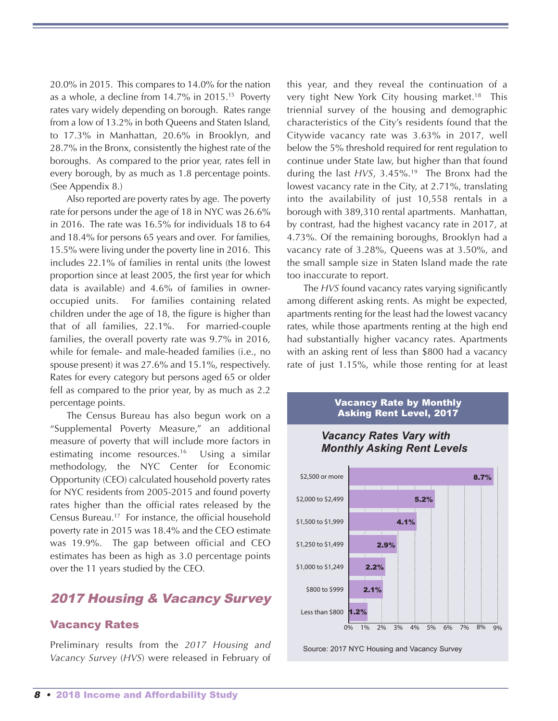20.0% in 2015. This compares to 14.0% for the nation as a whole, a decline from 14.7% in 2015. <sup>15</sup> Poverty rates vary widely depending on borough. Rates range from a low of 13.2% in both Queens and Staten Island, to 17.3% in Manhattan, 20.6% in Brooklyn, and 28.7% in the Bronx, consistently the highest rate of the boroughs. As compared to the prior year, rates fell in every borough, by as much as 1.8 percentage points. (See Appendix 8.)

Also reported are poverty rates by age. The poverty rate for persons under the age of 18 in NYC was 26.6% in 2016. The rate was 16.5% for individuals 18 to 64 and 18.4% for persons 65 years and over. For families, 15.5% were living under the poverty line in 2016. This includes 22.1% of families in rental units (the lowest proportion since at least 2005, the first year for which data is available) and 4.6% of families in owneroccupied units. For families containing related children under the age of 18, the figure is higher than that of all families, 22.1%. For married-couple families, the overall poverty rate was 9.7% in 2016, while for female- and male-headed families (i.e., no spouse present) it was 27.6% and 15.1%, respectively. Rates for every category but persons aged 65 or older fell as compared to the prior year, by as much as 2.2 percentage points.

The Census Bureau has also begun work on a "Supplemental Poverty Measure," an additional measure of poverty that will include more factors in estimating income resources. <sup>16</sup> Using a similar methodology, the NYC Center for Economic Opportunity (CEO) calculated household poverty rates for NYC residents from 2005-2015 and found poverty rates higher than the official rates released by the Census Bureau. <sup>17</sup> For instance, the official household poverty rate in 2015 was 18.4% and the CEO estimate was 19.9%. The gap between official and CEO estimates has been as high as 3.0 percentage points over the 11 years studied by the CEO.

## 2017 Housing & Vacancy Survey

#### Vacancy Rates

Preliminary results from the *2017 Housing and Vacancy Survey* (*HVS*) were released in February of this year, and they reveal the continuation of a very tight New York City housing market. <sup>18</sup> This triennial survey of the housing and demographic characteristics of the City's residents found that the Citywide vacancy rate was 3.63% in 2017, well below the 5% threshold required for rent regulation to continue under State law, but higher than that found during the last *HVS*, 3.45%. <sup>19</sup> The Bronx had the lowest vacancy rate in the City, at 2.71%, translating into the availability of just 10,558 rentals in a borough with 389,310 rental apartments. Manhattan, by contrast, had the highest vacancy rate in 2017, at 4.73%. Of the remaining boroughs, Brooklyn had a vacancy rate of 3.28%, Queens was at 3.50%, and the small sample size in Staten Island made the rate too inaccurate to report.

The *HVS* found vacancy rates varying significantly among different asking rents. As might be expected, apartments renting for the least had the lowest vacancy rates, while those apartments renting at the high end had substantially higher vacancy rates. Apartments with an asking rent of less than \$800 had a vacancy rate of just 1.15%, while those renting for at least





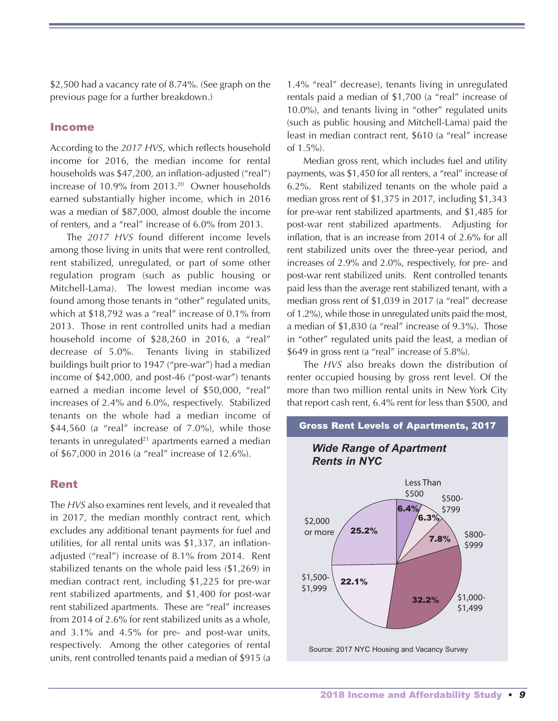\$2,500 had a vacancy rate of 8.74%. (See graph on the previous page for a further breakdown.)

#### Income

According to the *2017 HVS*, which reflects household income for 2016, the median income for rental households was \$47,200, an inflation-adjusted ("real") increase of 10.9% from 2013. <sup>20</sup> Owner households earned substantially higher income, which in 2016 was a median of \$87,000, almost double the income of renters, and a "real" increase of 6.0% from 2013.

The *2017 HVS* found different income levels among those living in units that were rent controlled, rent stabilized, unregulated, or part of some other regulation program (such as public housing or Mitchell-Lama). The lowest median income was found among those tenants in "other" regulated units, which at \$18,792 was a "real" increase of 0.1% from 2013. Those in rent controlled units had a median household income of \$28,260 in 2016, a "real" decrease of 5.0%. Tenants living in stabilized buildings built prior to 1947 ("pre-war") had a median income of \$42,000, and post-46 ("post-war") tenants earned a median income level of \$50,000, "real" increases of 2.4% and 6.0%, respectively. Stabilized tenants on the whole had a median income of  $$44,560$  (a "real" increase of 7.0%), while those tenants in unregulated $21$  apartments earned a median of \$67,000 in 2016 (a "real" increase of 12.6%).

#### Rent

The *HVS* also examines rent levels, and it revealed that in 2017, the median monthly contract rent, which excludes any additional tenant payments for fuel and utilities, for all rental units was \$1,337, an inflationadjusted ("real") increase of 8.1% from 2014. Rent stabilized tenants on the whole paid less (\$1,269) in median contract rent, including \$1,225 for pre-war rent stabilized apartments, and \$1,400 for post-war rent stabilized apartments. These are "real" increases from 2014 of 2.6% for rent stabilized units as a whole, and 3.1% and 4.5% for pre- and post-war units, respectively. Among the other categories of rental units, rent controlled tenants paid a median of \$915 (a

1.4% "real" decrease), tenants living in unregulated rentals paid a median of \$1,700 (a "real" increase of 10.0%), and tenants living in "other" regulated units (such as public housing and Mitchell-Lama) paid the least in median contract rent, \$610 (a "real" increase of 1.5%).

Median gross rent, which includes fuel and utility payments, was \$1,450 for all renters, a "real" increase of 6.2%. Rent stabilized tenants on the whole paid a median gross rent of \$1,375 in 2017, including \$1,343 for pre-war rent stabilized apartments, and \$1,485 for post-war rent stabilized apartments. Adjusting for inflation, that is an increase from 2014 of 2.6% for all rent stabilized units over the three-year period, and increases of 2.9% and 2.0%, respectively, for pre- and post-war rent stabilized units. Rent controlled tenants paid less than the average rent stabilized tenant, with a median gross rent of \$1,039 in 2017 (a "real" decrease of 1.2%), while those in unregulated units paid the most, a median of \$1,830 (a "real" increase of 9.3%). Those in "other" regulated units paid the least, a median of \$649 in gross rent (a "real" increase of 5.8%).

The *HVS* also breaks down the distribution of renter occupied housing by gross rent level. Of the more than two million rental units in New York City that report cash rent, 6.4% rent for less than \$500, and

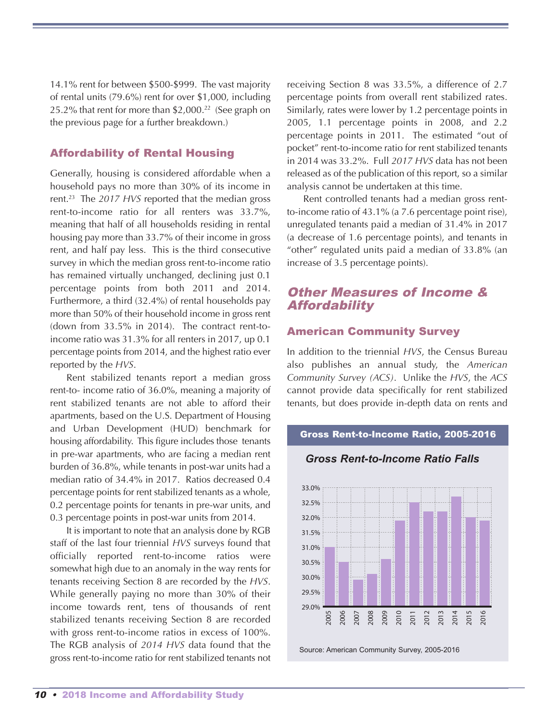14.1% rent for between \$500-\$999. The vast majority of rental units (79.6%) rent for over \$1,000, including 25.2% that rent for more than \$2,000. <sup>22</sup> (See graph on the previous page for a further breakdown.)

#### Affordability of Rental Housing

Generally, housing is considered affordable when a household pays no more than 30% of its income in rent. <sup>23</sup> The *2017 HVS* reported that the median gross rent-to-income ratio for all renters was 33.7%, meaning that half of all households residing in rental housing pay more than 33.7% of their income in gross rent, and half pay less. This is the third consecutive survey in which the median gross rent-to-income ratio has remained virtually unchanged, declining just 0.1 percentage points from both 2011 and 2014. Furthermore, a third (32.4%) of rental households pay more than 50% of their household income in gross rent (down from 33.5% in 2014). The contract rent-toincome ratio was 31.3% for all renters in 2017, up 0.1 percentage points from 2014, and the highest ratio ever reported by the *HVS*.

Rent stabilized tenants report a median gross rent-to- income ratio of 36.0%, meaning a majority of rent stabilized tenants are not able to afford their apartments, based on the U.S. Department of Housing and Urban Development (HUD) benchmark for housing affordability. This figure includes those tenants in pre-war apartments, who are facing a median rent burden of 36.8%, while tenants in post-war units had a median ratio of 34.4% in 2017. Ratios decreased 0.4 percentage points for rent stabilized tenants as a whole, 0.2 percentage points for tenants in pre-war units, and 0.3 percentage points in post-war units from 2014.

It is important to note that an analysis done by RGB staff of the last four triennial *HVS* surveys found that officially reported rent-to-income ratios were somewhat high due to an anomaly in the way rents for tenants receiving Section 8 are recorded by the *HVS*. While generally paying no more than 30% of their income towards rent, tens of thousands of rent stabilized tenants receiving Section 8 are recorded with gross rent-to-income ratios in excess of 100%. The RGB analysis of *2014 HVS* data found that the gross rent-to-income ratio for rent stabilized tenants not

receiving Section 8 was 33.5%, a difference of 2.7 percentage points from overall rent stabilized rates. Similarly, rates were lower by 1.2 percentage points in 2005, 1.1 percentage points in 2008, and 2.2 percentage points in 2011. The estimated "out of pocket" rent-to-income ratio for rent stabilized tenants in 2014 was 33.2%. Full *2017 HVS* data has not been released as of the publication of this report, so a similar analysis cannot be undertaken at this time.

Rent controlled tenants had a median gross rentto-income ratio of 43.1% (a 7.6 percentage point rise), unregulated tenants paid a median of 31.4% in 2017 (a decrease of 1.6 percentage points), and tenants in "other" regulated units paid a median of 33.8% (an increase of 3.5 percentage points).

## Other Measures of Income & **Affordability**

#### American Community Survey

In addition to the triennial *HVS*, the Census Bureau also publishes an annual study, the *American Community Survey (ACS)*. Unlike the *HVS*, the *ACS* cannot provide data specifically for rent stabilized tenants, but does provide in-depth data on rents and

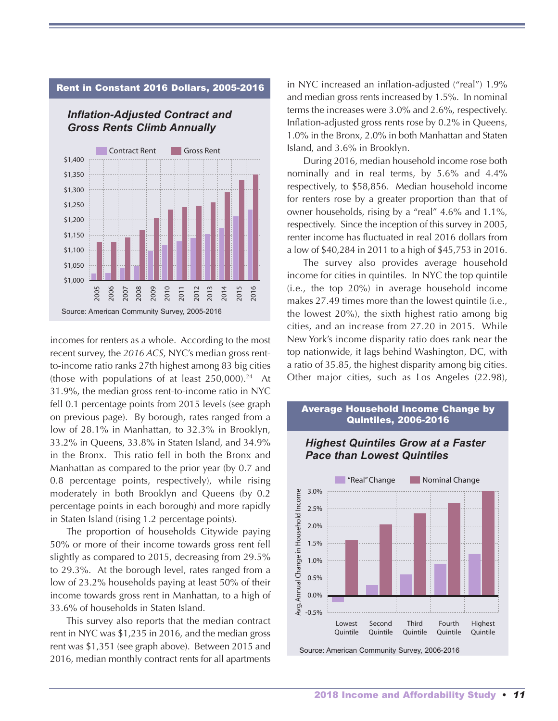#### Rent in Constant 2016 Dollars, 2005-2016

*Inflation-Adjusted Contract and Gross Rents Climb Annually*



incomes for renters as a whole. According to the most recent survey, the *2016 ACS*, NYC's median gross rentto-income ratio ranks 27th highest among 83 big cities (those with populations of at least  $250,000$ ).<sup>24</sup> At 31.9%, the median gross rent-to-income ratio in NYC fell 0.1 percentage points from 2015 levels (see graph on previous page). By borough, rates ranged from a low of 28.1% in Manhattan, to 32.3% in Brooklyn, 33.2% in Queens, 33.8% in Staten Island, and 34.9% in the Bronx. This ratio fell in both the Bronx and Manhattan as compared to the prior year (by 0.7 and 0.8 percentage points, respectively), while rising moderately in both Brooklyn and Queens (by 0.2 percentage points in each borough) and more rapidly in Staten Island (rising 1.2 percentage points).

The proportion of households Citywide paying 50% or more of their income towards gross rent fell slightly as compared to 2015, decreasing from 29.5% to 29.3%. At the borough level, rates ranged from a low of 23.2% households paying at least 50% of their income towards gross rent in Manhattan, to a high of 33.6% of households in Staten Island.

This survey also reports that the median contract rent in NYC was \$1,235 in 2016, and the median gross rent was \$1,351 (see graph above). Between 2015 and 2016, median monthly contract rents for all apartments in NYC increased an inflation-adjusted ("real") 1.9% and median gross rents increased by 1.5%. In nominal terms the increases were 3.0% and 2.6%, respectively. Inflation-adjusted gross rents rose by 0.2% in Queens, 1.0% in the Bronx, 2.0% in both Manhattan and Staten Island, and 3.6% in Brooklyn.

During 2016, median household income rose both nominally and in real terms, by 5.6% and 4.4% respectively, to \$58,856. Median household income for renters rose by a greater proportion than that of owner households, rising by a "real" 4.6% and 1.1%, respectively. Since the inception of this survey in 2005, renter income has fluctuated in real 2016 dollars from a low of \$40,284 in 2011 to a high of \$45,753 in 2016.

The survey also provides average household income for cities in quintiles. In NYC the top quintile (i.e., the top 20%) in average household income makes 27.49 times more than the lowest quintile (i.e., the lowest 20%), the sixth highest ratio among big cities, and an increase from 27.20 in 2015. While New York's income disparity ratio does rank near the top nationwide, it lags behind Washington, DC, with a ratio of 35.85, the highest disparity among big cities. Other major cities, such as Los Angeles (22.98),



#### 2018 Income and Affordability Study • 11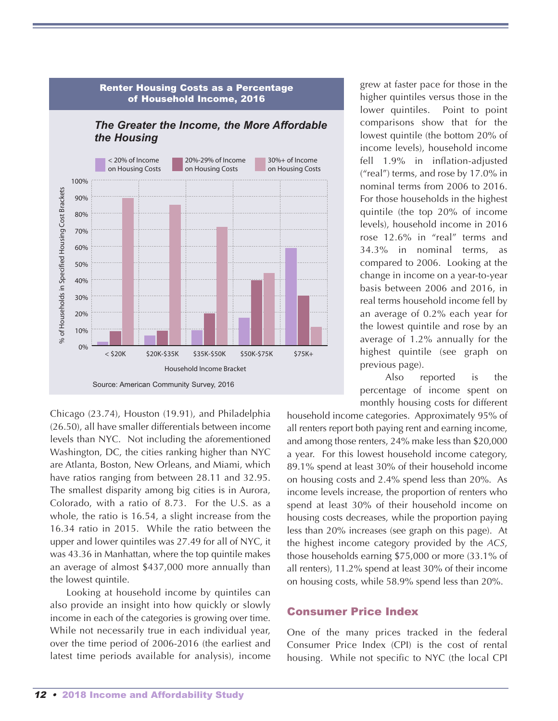

Chicago (23.74), Houston (19.91), and Philadelphia (26.50), all have smaller differentials between income levels than NYC. Not including the aforementioned Washington, DC, the cities ranking higher than NYC are Atlanta, Boston, New Orleans, and Miami, which have ratios ranging from between 28.11 and 32.95. The smallest disparity among big cities is in Aurora, Colorado, with a ratio of 8.73. For the U.S. as a whole, the ratio is 16.54, a slight increase from the 16.34 ratio in 2015. While the ratio between the upper and lower quintiles was 27.49 for all of NYC, it was 43.36 in Manhattan, where the top quintile makes an average of almost \$437,000 more annually than the lowest quintile.

Looking at household income by quintiles can also provide an insight into how quickly or slowly income in each of the categories is growing over time. While not necessarily true in each individual year, over the time period of 2006-2016 (the earliest and latest time periods available for analysis), income

grew at faster pace for those in the higher quintiles versus those in the lower quintiles. Point to point comparisons show that for the lowest quintile (the bottom 20% of income levels), household income fell 1.9% in inflation-adjusted ("real") terms, and rose by 17.0% in nominal terms from 2006 to 2016. For those households in the highest quintile (the top 20% of income levels), household income in 2016 rose 12.6% in "real" terms and 34.3% in nominal terms, as compared to 2006. Looking at the change in income on a year-to-year basis between 2006 and 2016, in real terms household income fell by an average of 0.2% each year for the lowest quintile and rose by an average of 1.2% annually for the highest quintile (see graph on previous page).

Also reported is the percentage of income spent on monthly housing costs for different

household income categories. Approximately 95% of all renters report both paying rent and earning income, and among those renters, 24% make less than \$20,000 a year. For this lowest household income category, 89.1% spend at least 30% of their household income on housing costs and 2.4% spend less than 20%. As income levels increase, the proportion of renters who spend at least 30% of their household income on housing costs decreases, while the proportion paying less than 20% increases (see graph on this page). At the highest income category provided by the *ACS*, those households earning \$75,000 or more (33.1% of all renters), 11.2% spend at least 30% of their income on housing costs, while 58.9% spend less than 20%.

#### Consumer Price Index

One of the many prices tracked in the federal Consumer Price Index (CPI) is the cost of rental housing. While not specific to NYC (the local CPI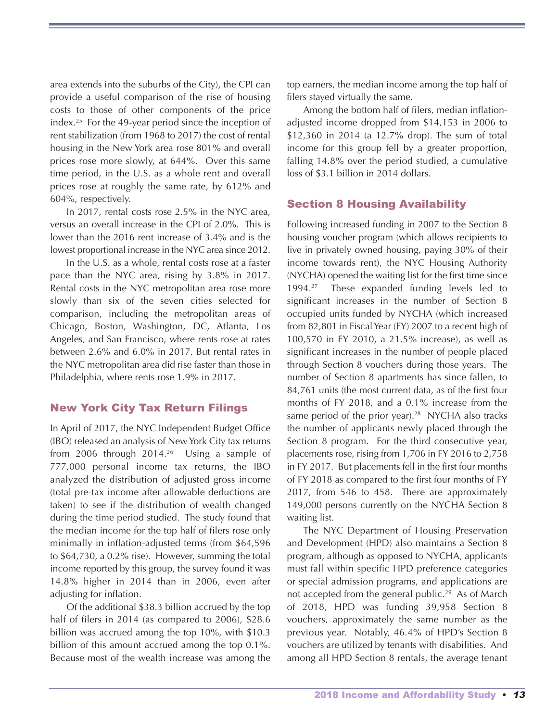area extends into the suburbs of the City), the CPI can provide a useful comparison of the rise of housing costs to those of other components of the price index. <sup>25</sup> For the 49-year period since the inception of rent stabilization (from 1968 to 2017) the cost of rental housing in the New York area rose 801% and overall prices rose more slowly, at 644%. Over this same time period, in the U.S. as a whole rent and overall prices rose at roughly the same rate, by 612% and 604%, respectively.

In 2017, rental costs rose 2.5% in the NYC area, versus an overall increase in the CPI of 2.0%. This is lower than the 2016 rent increase of 3.4% and is the lowest proportional increase in the NYC area since 2012.

In the U.S. as a whole, rental costs rose at a faster pace than the NYC area, rising by 3.8% in 2017. Rental costs in the NYC metropolitan area rose more slowly than six of the seven cities selected for comparison, including the metropolitan areas of Chicago, Boston, Washington, DC, Atlanta, Los Angeles, and San Francisco, where rents rose at rates between 2.6% and 6.0% in 2017. But rental rates in the NYC metropolitan area did rise faster than those in Philadelphia, where rents rose 1.9% in 2017.

#### New York City Tax Return Filings

In April of 2017, the NYC Independent Budget Office (IBO) released an analysis of NewYork City tax returns from 2006 through 2014. <sup>26</sup> Using a sample of 777,000 personal income tax returns, the IBO analyzed the distribution of adjusted gross income (total pre-tax income after allowable deductions are taken) to see if the distribution of wealth changed during the time period studied. The study found that the median income for the top half of filers rose only minimally in inflation-adjusted terms (from \$64,596 to \$64,730, a 0.2% rise). However, summing the total income reported by this group, the survey found it was 14.8% higher in 2014 than in 2006, even after adjusting for inflation.

Of the additional \$38.3 billion accrued by the top half of filers in 2014 (as compared to 2006), \$28.6 billion was accrued among the top 10%, with \$10.3 billion of this amount accrued among the top 0.1%. Because most of the wealth increase was among the top earners, the median income among the top half of filers stayed virtually the same.

Among the bottom half of filers, median inflationadjusted income dropped from \$14,153 in 2006 to \$12,360 in 2014 (a 12.7% drop). The sum of total income for this group fell by a greater proportion, falling 14.8% over the period studied, a cumulative loss of \$3.1 billion in 2014 dollars.

#### Section 8 Housing Availability

Following increased funding in 2007 to the Section 8 housing voucher program (which allows recipients to live in privately owned housing, paying 30% of their income towards rent), the NYC Housing Authority (NYCHA) opened the waiting list for the first time since 1994.<sup>27</sup> These expanded funding levels led to significant increases in the number of Section 8 occupied units funded by NYCHA (which increased from 82,801 in Fiscal Year (FY) 2007 to a recent high of 100,570 in FY 2010, a 21.5% increase), as well as significant increases in the number of people placed through Section 8 vouchers during those years. The number of Section 8 apartments has since fallen, to 84,761 units (the most current data, as of the first four months of FY 2018, and a 0.1% increase from the same period of the prior year). <sup>28</sup> NYCHA also tracks the number of applicants newly placed through the Section 8 program. For the third consecutive year, placements rose, rising from 1,706 in FY 2016 to 2,758 in FY 2017. But placements fell in the first four months of FY 2018 as compared to the first four months of FY 2017, from 546 to 458. There are approximately 149,000 persons currently on the NYCHA Section 8 waiting list.

The NYC Department of Housing Preservation and Development (HPD) also maintains a Section 8 program, although as opposed to NYCHA, applicants must fall within specific HPD preference categories or special admission programs, and applications are not accepted from the general public. <sup>29</sup> As of March of 2018, HPD was funding 39,958 Section 8 vouchers, approximately the same number as the previous year. Notably, 46.4% of HPD's Section 8 vouchers are utilized by tenants with disabilities. And among all HPD Section 8 rentals, the average tenant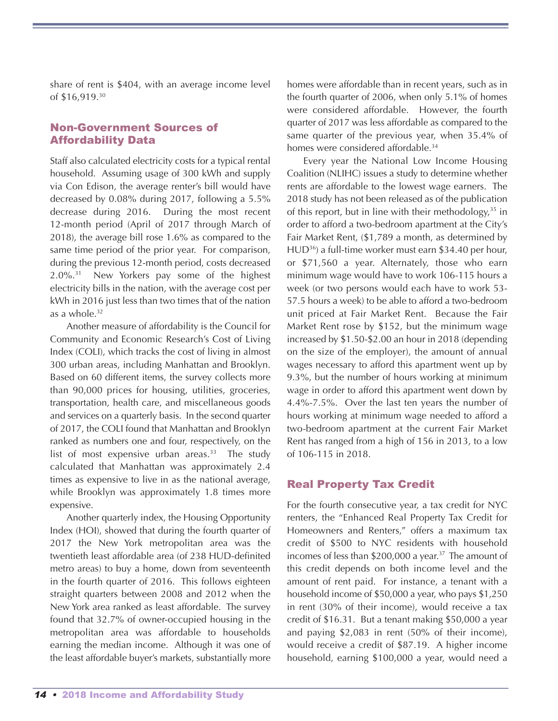share of rent is \$404, with an average income level of \$16,919. 30

#### Non-Government Sources of Affordability Data

Staff also calculated electricity costs for a typical rental household. Assuming usage of 300 kWh and supply via Con Edison, the average renter's bill would have decreased by 0.08% during 2017, following a 5.5% decrease during 2016. During the most recent 12-month period (April of 2017 through March of 2018), the average bill rose 1.6% as compared to the same time period of the prior year. For comparison, during the previous 12-month period, costs decreased  $2.0\%$ <sup>31</sup> New Yorkers pay some of the highest electricity bills in the nation, with the average cost per kWh in 2016 just less than two times that of the nation as a whole. 32

Another measure of affordability is the Council for Community and Economic Research's Cost of Living Index (COLI), which tracks the cost of living in almost 300 urban areas, including Manhattan and Brooklyn. Based on 60 different items, the survey collects more than 90,000 prices for housing, utilities, groceries, transportation, health care, and miscellaneous goods and services on a quarterly basis. In the second quarter of 2017, the COLI found that Manhattan and Brooklyn ranked as numbers one and four, respectively, on the list of most expensive urban areas.<sup>33</sup> The study calculated that Manhattan was approximately 2.4 times as expensive to live in as the national average, while Brooklyn was approximately 1.8 times more expensive.

Another quarterly index, the Housing Opportunity Index (HOI), showed that during the fourth quarter of 2017 the New York metropolitan area was the twentieth least affordable area (of 238 HUD-definited metro areas) to buy a home, down from seventeenth in the fourth quarter of 2016. This follows eighteen straight quarters between 2008 and 2012 when the New York area ranked as least affordable. The survey found that 32.7% of owner-occupied housing in the metropolitan area was affordable to households earning the median income. Although it was one of the least affordable buyer's markets, substantially more

homes were affordable than in recent years, such as in the fourth quarter of 2006, when only 5.1% of homes were considered affordable. However, the fourth quarter of 2017 was less affordable as compared to the same quarter of the previous year, when 35.4% of homes were considered affordable. 34

Every year the National Low Income Housing Coalition (NLIHC) issues a study to determine whether rents are affordable to the lowest wage earners. The 2018 study has not been released as of the publication of this report, but in line with their methodology, <sup>35</sup> in order to afford a two-bedroom apartment at the City's Fair Market Rent, (\$1,789 a month, as determined by HUD<sup>36</sup>) a full-time worker must earn \$34.40 per hour, or \$71,560 a year. Alternately, those who earn minimum wage would have to work 106-115 hours a week (or two persons would each have to work 53- 57.5 hours a week) to be able to afford a two-bedroom unit priced at Fair Market Rent. Because the Fair Market Rent rose by \$152, but the minimum wage increased by \$1.50-\$2.00 an hour in 2018 (depending on the size of the employer), the amount of annual wages necessary to afford this apartment went up by 9.3%, but the number of hours working at minimum wage in order to afford this apartment went down by 4.4%-7.5%. Over the last ten years the number of hours working at minimum wage needed to afford a two-bedroom apartment at the current Fair Market Rent has ranged from a high of 156 in 2013, to a low of 106-115 in 2018.

#### Real Property Tax Credit

For the fourth consecutive year, a tax credit for NYC renters, the "Enhanced Real Property Tax Credit for Homeowners and Renters," offers a maximum tax credit of \$500 to NYC residents with household incomes of less than \$200,000 a year. <sup>37</sup> The amount of this credit depends on both income level and the amount of rent paid. For instance, a tenant with a household income of \$50,000 a year, who pays \$1,250 in rent (30% of their income), would receive a tax credit of \$16.31. But a tenant making \$50,000 a year and paying \$2,083 in rent (50% of their income), would receive a credit of \$87.19. A higher income household, earning \$100,000 a year, would need a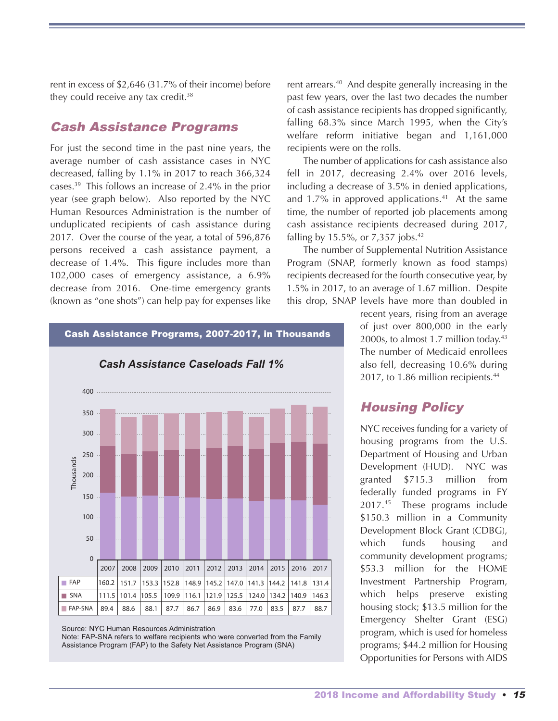rent in excess of \$2,646 (31.7% of their income) before they could receive any tax credit.<sup>38</sup>

## Cash Assistance Programs

For just the second time in the past nine years, the average number of cash assistance cases in NYC decreased, falling by 1.1% in 2017 to reach 366,324 cases. <sup>39</sup> This follows an increase of 2.4% in the prior year (see graph below). Also reported by the NYC Human Resources Administration is the number of unduplicated recipients of cash assistance during 2017. Over the course of the year, a total of 596,876 persons received a cash assistance payment, a decrease of 1.4%. This figure includes more than 102,000 cases of emergency assistance, a 6.9% decrease from 2016. One-time emergency grants (known as "one shots") can help pay for expenses like



Cash Assistance Programs, 2007-2017, in Thousands

Source: NYC Human Resources Administration

Note: FAP-SNA refers to welfare recipients who were converted from the Family Assistance Program (FAP) to the Safety Net Assistance Program (SNA)

rent arrears. <sup>40</sup> And despite generally increasing in the past few years, over the last two decades the number of cash assistance recipients has dropped significantly, falling 68.3% since March 1995, when the City's welfare reform initiative began and 1,161,000 recipients were on the rolls.

The number of applications for cash assistance also fell in 2017, decreasing 2.4% over 2016 levels, including a decrease of 3.5% in denied applications, and 1.7% in approved applications. <sup>41</sup> At the same time, the number of reported job placements among cash assistance recipients decreased during 2017, falling by 15.5%, or 7,357 jobs. 42

The number of Supplemental Nutrition Assistance Program (SNAP, formerly known as food stamps) recipients decreased for the fourth consecutive year, by 1.5% in 2017, to an average of 1.67 million. Despite this drop, SNAP levels have more than doubled in

> recent years, rising from an average of just over 800,000 in the early 2000s, to almost 1.7 million today. 43 The number of Medicaid enrollees also fell, decreasing 10.6% during 2017, to 1.86 million recipients.<sup>44</sup>

## Housing Policy

NYC receives funding for a variety of housing programs from the U.S. Department of Housing and Urban Development (HUD). NYC was granted \$715.3 million from federally funded programs in FY 2017. <sup>45</sup> These programs include \$150.3 million in a Community Development Block Grant (CDBG), which funds housing and community development programs; \$53.3 million for the HOME Investment Partnership Program, which helps preserve existing housing stock; \$13.5 million for the Emergency Shelter Grant (ESG) program, which is used for homeless programs; \$44.2 million for Housing Opportunities for Persons with AIDS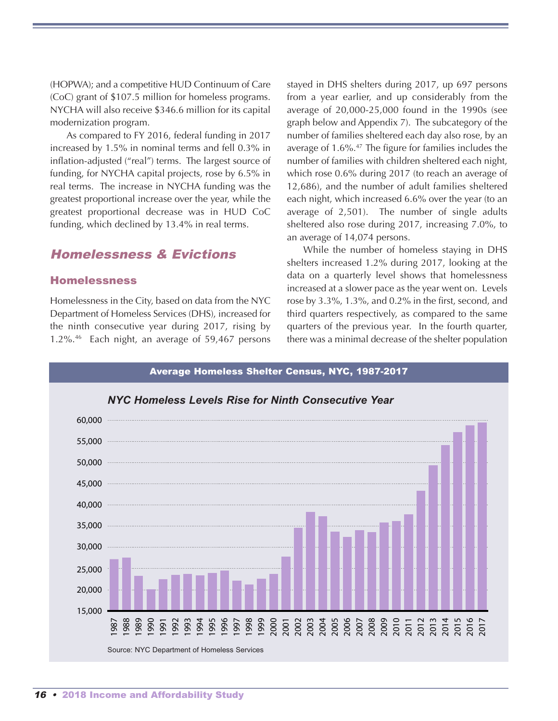(HOPWA); and a competitive HUD Continuum of Care (CoC) grant of \$107.5 million for homeless programs. NYCHA will also receive \$346.6 million for its capital modernization program.

As compared to FY 2016, federal funding in 2017 increased by 1.5% in nominal terms and fell 0.3% in inflation-adjusted ("real") terms. The largest source of funding, for NYCHA capital projects, rose by 6.5% in real terms. The increase in NYCHA funding was the greatest proportional increase over the year, while the greatest proportional decrease was in HUD CoC funding, which declined by 13.4% in real terms.

## Homelessness & Evictions

#### Homelessness

Homelessness in the City, based on data from the NYC Department of Homeless Services (DHS), increased for the ninth consecutive year during 2017, rising by 1.2%. <sup>46</sup> Each night, an average of 59,467 persons

stayed in DHS shelters during 2017, up 697 persons from a year earlier, and up considerably from the average of 20,000-25,000 found in the 1990s (see graph below and Appendix 7). The subcategory of the number of families sheltered each day also rose, by an average of 1.6%. <sup>47</sup> The figure for families includes the number of families with children sheltered each night, which rose 0.6% during 2017 (to reach an average of 12,686), and the number of adult families sheltered each night, which increased 6.6% over the year (to an average of 2,501). The number of single adults sheltered also rose during 2017, increasing 7.0%, to an average of 14,074 persons.

While the number of homeless staying in DHS shelters increased 1.2% during 2017, looking at the data on a quarterly level shows that homelessness increased at a slower pace as the year went on. Levels rose by 3.3%, 1.3%, and 0.2% in the first, second, and third quarters respectively, as compared to the same quarters of the previous year. In the fourth quarter, there was a minimal decrease of the shelter population

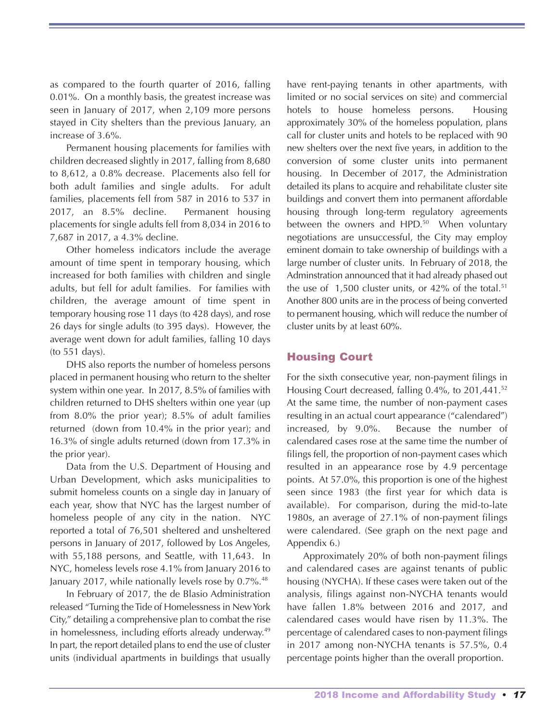as compared to the fourth quarter of 2016, falling 0.01%. On a monthly basis, the greatest increase was seen in January of 2017, when 2,109 more persons stayed in City shelters than the previous January, an increase of 3.6%.

Permanent housing placements for families with children decreased slightly in 2017, falling from 8,680 to 8,612, a 0.8% decrease. Placements also fell for both adult families and single adults. For adult families, placements fell from 587 in 2016 to 537 in 2017, an 8.5% decline. Permanent housing placements for single adults fell from 8,034 in 2016 to 7,687 in 2017, a 4.3% decline.

Other homeless indicators include the average amount of time spent in temporary housing, which increased for both families with children and single adults, but fell for adult families. For families with children, the average amount of time spent in temporary housing rose 11 days (to 428 days), and rose 26 days for single adults (to 395 days). However, the average went down for adult families, falling 10 days (to 551 days).

DHS also reports the number of homeless persons placed in permanent housing who return to the shelter system within one year. In 2017, 8.5% of families with children returned to DHS shelters within one year (up from 8.0% the prior year); 8.5% of adult families returned (down from 10.4% in the prior year); and 16.3% of single adults returned (down from 17.3% in the prior year).

Data from the U.S. Department of Housing and Urban Development, which asks municipalities to submit homeless counts on a single day in January of each year, show that NYC has the largest number of homeless people of any city in the nation. NYC reported a total of 76,501 sheltered and unsheltered persons in January of 2017, followed by Los Angeles, with 55,188 persons, and Seattle, with 11,643. In NYC, homeless levels rose 4.1% from January 2016 to January 2017, while nationally levels rose by 0.7%. 48

In February of 2017, the de Blasio Administration released "Turning the Tide of Homelessness in New York City," detailing a comprehensive plan to combat the rise in homelessness, including efforts already underway.<sup>49</sup> In part, the report detailed plans to end the use of cluster units (individual apartments in buildings that usually have rent-paying tenants in other apartments, with limited or no social services on site) and commercial hotels to house homeless persons. Housing approximately 30% of the homeless population, plans call for cluster units and hotels to be replaced with 90 new shelters over the next five years, in addition to the conversion of some cluster units into permanent housing. In December of 2017, the Administration detailed its plans to acquire and rehabilitate cluster site buildings and convert them into permanent affordable housing through long-term regulatory agreements between the owners and HPD.<sup>50</sup> When voluntary negotiations are unsuccessful, the City may employ eminent domain to take ownership of buildings with a large number of cluster units. In February of 2018, the Adminstration announced that it had already phased out the use of 1,500 cluster units, or 42% of the total. 51 Another 800 units are in the process of being converted to permanent housing, which will reduce the number of cluster units by at least 60%.

## Housing Court

For the sixth consecutive year, non-payment filings in Housing Court decreased, falling 0.4%, to 201,441. 52 At the same time, the number of non-payment cases resulting in an actual court appearance ("calendared") increased, by 9.0%. Because the number of calendared cases rose at the same time the number of filings fell, the proportion of non-payment cases which resulted in an appearance rose by 4.9 percentage points. At 57.0%, this proportion is one of the highest seen since 1983 (the first year for which data is available). For comparison, during the mid-to-late 1980s, an average of 27.1% of non-payment filings were calendared. (See graph on the next page and Appendix 6.)

Approximately 20% of both non-payment filings and calendared cases are against tenants of public housing (NYCHA). If these cases were taken out of the analysis, filings against non-NYCHA tenants would have fallen 1.8% between 2016 and 2017, and calendared cases would have risen by 11.3%. The percentage of calendared cases to non-payment filings in 2017 among non-NYCHA tenants is 57.5%, 0.4 percentage points higher than the overall proportion.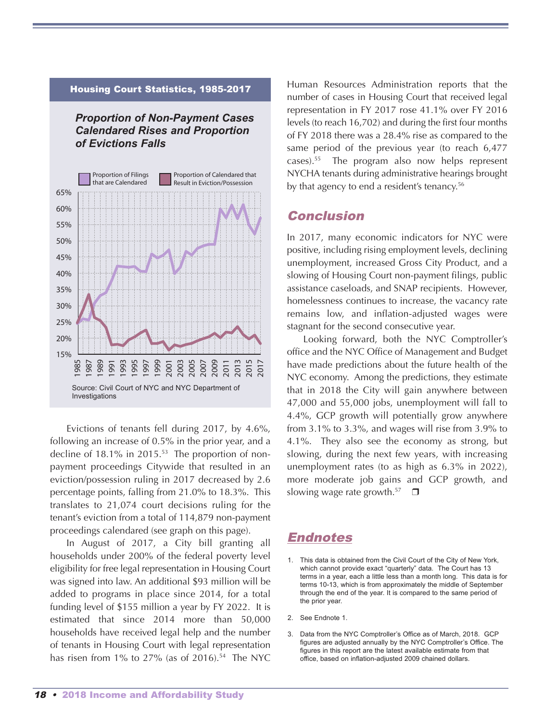

*Proportion of Non-Payment Cases Calendared Rises and Proportion*

Housing Court Statistics, 1985-2017

Evictions of tenants fell during 2017, by 4.6%, following an increase of 0.5% in the prior year, and a decline of 18.1% in 2015. <sup>53</sup> The proportion of nonpayment proceedings Citywide that resulted in an eviction/possession ruling in 2017 decreased by 2.6 percentage points, falling from 21.0% to 18.3%. This translates to 21,074 court decisions ruling for the tenant's eviction from a total of 114,879 non-payment proceedings calendared (see graph on this page).

In August of 2017, a City bill granting all households under 200% of the federal poverty level eligibility for free legal representation in Housing Court was signed into law. An additional \$93 million will be added to programs in place since 2014, for a total funding level of \$155 million a year by FY 2022. It is estimated that since 2014 more than 50,000 households have received legal help and the number of tenants in Housing Court with legal representation has risen from 1% to 27% (as of 2016). <sup>54</sup> The NYC

Human Resources Administration reports that the number of cases in Housing Court that received legal representation in FY 2017 rose 41.1% over FY 2016 levels (to reach 16,702) and during the first four months of FY 2018 there was a 28.4% rise as compared to the same period of the previous year (to reach 6,477 cases). <sup>55</sup> The program also now helps represent NYCHA tenants during administrative hearings brought by that agency to end a resident's tenancy. 56

#### Conclusion

In 2017, many economic indicators for NYC were positive, including rising employment levels, declining unemployment, increased Gross City Product, and a slowing of Housing Court non-payment filings, public assistance caseloads, and SNAP recipients. However, homelessness continues to increase, the vacancy rate remains low, and inflation-adjusted wages were stagnant for the second consecutive year.

Looking forward, both the NYC Comptroller's office and the NYC Office of Management and Budget have made predictions about the future health of the NYC economy. Among the predictions, they estimate that in 2018 the City will gain anywhere between 47,000 and 55,000 jobs, unemployment will fall to 4.4%, GCP growth will potentially grow anywhere from 3.1% to 3.3%, and wages will rise from 3.9% to 4.1%. They also see the economy as strong, but slowing, during the next few years, with increasing unemployment rates (to as high as 6.3% in 2022), more moderate job gains and GCP growth, and slowing wage rate growth.<sup>57</sup>  $\Box$ 

## Endnotes

- 1. This data is obtained from the Civil Court of the City of New York, which cannot provide exact "quarterly" data. The Court has 13 terms in a year, each a little less than a month long. This data is for terms 10-13, which is from approximately the middle of September through the end of the year. It is compared to the same period of the prior year.
- 2. See Endnote 1.
- 3. Data from the NYC Comptroller's Office as of March, 2018. GCP figures are adjusted annually by the NYC Comptroller's Office. The figures in this report are the latest available estimate from that office, based on inflation-adjusted 2009 chained dollars.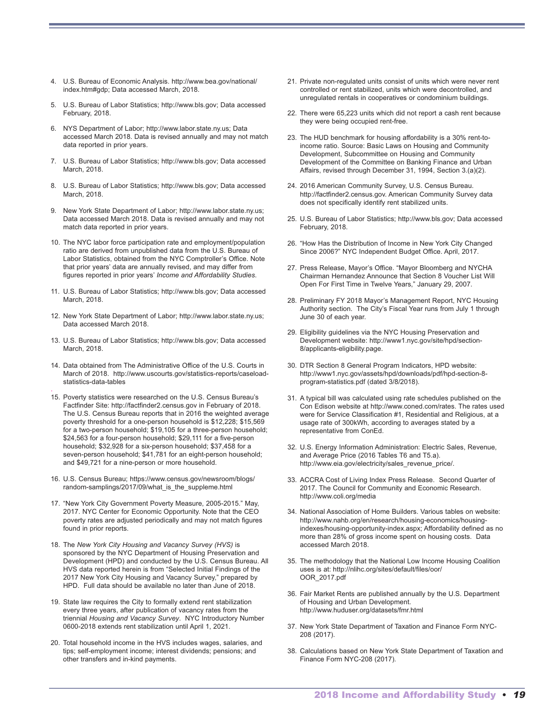- 4. U.S. Bureau of Economic Analysis. http://www.bea.gov/national/ index.htm#gdp; Data accessed March, 2018.
- 5. U.S. Bureau of Labor Statistics; http://www.bls.gov; Data accessed February, 2018.
- 6. NYS Department of Labor; http://www.labor.state.ny.us; Data accessed March 2018. Data is revised annually and may not match data reported in prior years.
- 7. U.S. Bureau of Labor Statistics; http://www.bls.gov; Data accessed March, 2018.
- 8. U.S. Bureau of Labor Statistics; http://www.bls.gov; Data accessed March, 2018.
- 9. New York State Department of Labor; http://www.labor.state.ny.us; Data accessed March 2018. Data is revised annually and may not match data reported in prior years.
- 10. The NYC labor force participation rate and employment/population ratio are derived from unpublished data from the U.S. Bureau of Labor Statistics, obtained from the NYC Comptroller's Office. Note that prior years' data are annually revised, and may differ from figures reported in prior years' *Income and Affordability Studies*.
- 11. U.S. Bureau of Labor Statistics; http://www.bls.gov; Data accessed March, 2018.
- 12. New York State Department of Labor; http://www.labor.state.ny.us; Data accessed March 2018.
- 13. U.S. Bureau of Labor Statistics; http://www.bls.gov; Data accessed March, 2018.
- 14. Data obtained from The Administrative Office of the U.S. Courts in March of 2018. http://www.uscourts.gov/statistics-reports/caseloadstatistics-data-tables

.

- 15. Poverty statistics were researched on the U.S. Census Bureau's Factfinder Site: http://factfinder2.census.gov in February of 2018. The U.S. Census Bureau reports that in 2016 the weighted average poverty threshold for a one-person household is \$12,228; \$15,569 for a two-person household; \$19,105 for a three-person household; \$24,563 for a four-person household; \$29,111 for a five-person household; \$32,928 for a six-person household; \$37,458 for a seven-person household; \$41,781 for an eight-person household; and \$49,721 for a nine-person or more household.
- 16. U.S. Census Bureau; https://www.census.gov/newsroom/blogs/ random-samplings/2017/09/what\_is\_the\_suppleme.html
- 17. "New York City Government Poverty Measure, 2005-2015." May, 2017. NYC Center for Economic Opportunity. Note that the CEO poverty rates are adjusted periodically and may not match figures found in prior reports.
- 18. The *New York City Housing and Vacancy Survey (HVS)* is sponsored by the NYC Department of Housing Preservation and Development (HPD) and conducted by the U.S. Census Bureau. All HVS data reported herein is from "Selected Initial Findings of the 2017 New York City Housing and Vacancy Survey," prepared by HPD. Full data should be available no later than June of 2018.
- 19. State law requires the City to formally extend rent stabilization every three years, after publication of vacancy rates from the triennial *Housing and Vacancy Survey*. NYC Introductory Number 0600-2018 extends rent stabilization until April 1, 2021.
- 20. Total household income in the HVS includes wages, salaries, and tips; self-employment income; interest dividends; pensions; and other transfers and in-kind payments.
- 21. Private non-regulated units consist of units which were never rent controlled or rent stabilized, units which were decontrolled, and unregulated rentals in cooperatives or condominium buildings.
- 22. There were 65,223 units which did not report a cash rent because they were being occupied rent-free.
- 23. The HUD benchmark for housing affordability is a 30% rent-toincome ratio. Source: Basic Laws on Housing and Community Development, Subcommittee on Housing and Community Development of the Committee on Banking Finance and Urban Affairs, revised through December 31, 1994, Section 3.(a)(2).
- 24. 2016 American Community Survey, U.S. Census Bureau. http://factfinder2.census.gov. American Community Survey data does not specifically identify rent stabilized units.
- 25. U.S. Bureau of Labor Statistics; http://www.bls.gov; Data accessed February, 2018.
- 26. "How Has the Distribution of Income in New York City Changed Since 2006?" NYC Independent Budget Office. April, 2017.
- 27. Press Release, Mayor's Office. "Mayor Bloomberg and NYCHA Chairman Hernandez Announce that Section 8 Voucher List Will Open For First Time in Twelve Years," January 29, 2007.
- 28. Preliminary FY 2018 Mayor's Management Report, NYC Housing Authority section. The City's Fiscal Year runs from July 1 through June 30 of each year.
- 29. Eligibility guidelines via the NYC Housing Preservation and Development website: http://www1.nyc.gov/site/hpd/section-8/applicants-eligibility.page.
- 30. DTR Section 8 General Program Indicators, HPD website: http://www1.nyc.gov/assets/hpd/downloads/pdf/hpd-section-8 program-statistics.pdf (dated 3/8/2018).
- 31. A typical bill was calculated using rate schedules published on the Con Edison website at http://www.coned.com/rates. The rates used were for Service Classification #1, Residential and Religious, at a usage rate of 300kWh, according to averages stated by a representative from ConEd.
- 32. U.S. Energy Information Administration: Electric Sales, Revenue, and Average Price (2016 Tables T6 and T5.a). http://www.eia.gov/electricity/sales\_revenue\_price/.
- 33. ACCRA Cost of Living Index Press Release. Second Quarter of 2017. The Council for Community and Economic Research. http://www.coli.org/media
- 34. National Association of Home Builders. Various tables on website: http://www.nahb.org/en/research/housing-economics/housingindexes/housing-opportunity-index.aspx; Affordability defined as no more than 28% of gross income spent on housing costs. Data accessed March 2018.
- 35. The methodology that the National Low Income Housing Coalition uses is at: http://nlihc.org/sites/default/files/oor/ OOR\_2017.pdf
- 36. Fair Market Rents are published annually by the U.S. Department of Housing and Urban Development. http://www.huduser.org/datasets/fmr.html
- 37. New York State Department of Taxation and Finance Form NYC-208 (2017).
- 38. Calculations based on New York State Department of Taxation and Finance Form NYC-208 (2017).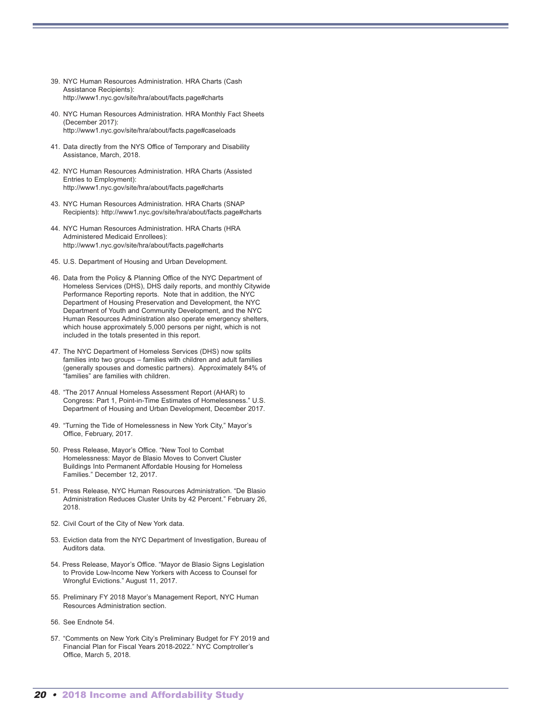- 39. NYC Human Resources Administration. HRA Charts (Cash Assistance Recipients): http://www1.nyc.gov/site/hra/about/facts.page#charts
- 40. NYC Human Resources Administration. HRA Monthly Fact Sheets (December 2017): http://www1.nyc.gov/site/hra/about/facts.page#caseloads
- 41. Data directly from the NYS Office of Temporary and Disability Assistance, March, 2018.
- 42. NYC Human Resources Administration. HRA Charts (Assisted Entries to Employment): http://www1.nyc.gov/site/hra/about/facts.page#charts
- 43. NYC Human Resources Administration. HRA Charts (SNAP Recipients): http://www1.nyc.gov/site/hra/about/facts.page#charts
- 44. NYC Human Resources Administration. HRA Charts (HRA Administered Medicaid Enrollees): http://www1.nyc.gov/site/hra/about/facts.page#charts
- 45. U.S. Department of Housing and Urban Development.
- 46. Data from the Policy & Planning Office of the NYC Department of Homeless Services (DHS), DHS daily reports, and monthly Citywide Performance Reporting reports. Note that in addition, the NYC Department of Housing Preservation and Development, the NYC Department of Youth and Community Development, and the NYC Human Resources Administration also operate emergency shelters, which house approximately 5,000 persons per night, which is not included in the totals presented in this report.
- 47. The NYC Department of Homeless Services (DHS) now splits families into two groups – families with children and adult families (generally spouses and domestic partners). Approximately 84% of "families" are families with children.
- 48. "The 2017 Annual Homeless Assessment Report (AHAR) to Congress: Part 1, Point-in-Time Estimates of Homelessness." U.S. Department of Housing and Urban Development, December 2017.
- 49. "Turning the Tide of Homelessness in New York City," Mayor's Office, February, 2017.
- 50. Press Release, Mayor's Office. "New Tool to Combat Homelessness: Mayor de Blasio Moves to Convert Cluster Buildings Into Permanent Affordable Housing for Homeless Families." December 12, 2017.
- 51. Press Release, NYC Human Resources Administration. "De Blasio Administration Reduces Cluster Units by 42 Percent." February 26, 2018.
- 52. Civil Court of the City of New York data.
- 53. Eviction data from the NYC Department of Investigation, Bureau of Auditors data.
- 54. Press Release, Mayor's Office. "Mayor de Blasio Signs Legislation to Provide Low-Income New Yorkers with Access to Counsel for Wrongful Evictions." August 11, 2017.
- 55. Preliminary FY 2018 Mayor's Management Report, NYC Human Resources Administration section.
- 56. See Endnote 54.
- 57. "Comments on New York City's Preliminary Budget for FY 2019 and Financial Plan for Fiscal Years 2018-2022." NYC Comptroller's Office, March 5, 2018.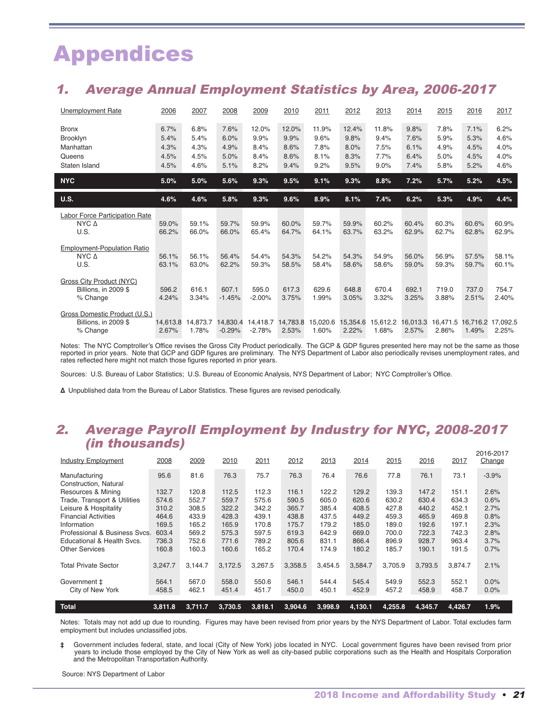# Appendices

## 1. Average Annual Employment Statistics by Area, 2006-2017

| <b>Unemployment Rate</b>                                            | 2006                                 | 2007                                 | 2008                                 | 2009                                  | 2010                                  | 2011                                  | 2012                                  | 2013                                  | 2014                                 | 2015                                 | 2016                                 | 2017                                 |
|---------------------------------------------------------------------|--------------------------------------|--------------------------------------|--------------------------------------|---------------------------------------|---------------------------------------|---------------------------------------|---------------------------------------|---------------------------------------|--------------------------------------|--------------------------------------|--------------------------------------|--------------------------------------|
| <b>Bronx</b><br>Brooklyn<br>Manhattan<br>Queens<br>Staten Island    | 6.7%<br>5.4%<br>4.3%<br>4.5%<br>4.5% | 6.8%<br>5.4%<br>4.3%<br>4.5%<br>4.6% | 7.6%<br>6.0%<br>4.9%<br>5.0%<br>5.1% | 12.0%<br>9.9%<br>8.4%<br>8.4%<br>8.2% | 12.0%<br>9.9%<br>8.6%<br>8.6%<br>9.4% | 11.9%<br>9.6%<br>7.8%<br>8.1%<br>9.2% | 12.4%<br>9.8%<br>8.0%<br>8.3%<br>9.5% | 11.8%<br>9.4%<br>7.5%<br>7.7%<br>9.0% | 9.8%<br>7.6%<br>6.1%<br>6.4%<br>7.4% | 7.8%<br>5.9%<br>4.9%<br>5.0%<br>5.8% | 7.1%<br>5.3%<br>4.5%<br>4.5%<br>5.2% | 6.2%<br>4.6%<br>4.0%<br>4.0%<br>4.6% |
| <b>NYC</b>                                                          | 5.0%                                 | 5.0%                                 | 5.6%                                 | 9.3%                                  | 9.5%                                  | 9.1%                                  | 9.3%                                  | 8.8%                                  | 7.2%                                 | 5.7%                                 | 5.2%                                 | 4.5%                                 |
| <b>U.S.</b>                                                         | 4.6%                                 | 4.6%                                 | 5.8%                                 | 9.3%                                  | 9.6%                                  | 8.9%                                  | 8.1%                                  | 7.4%                                  | 6.2%                                 | 5.3%                                 | 4.9%                                 | 4.4%                                 |
| Labor Force Participation Rate<br>$NYC \Delta$<br>U.S.              | 59.0%<br>66.2%                       | 59.1%<br>66.0%                       | 59.7%<br>66.0%                       | 59.9%<br>65.4%                        | 60.0%<br>64.7%                        | 59.7%<br>64.1%                        | 59.9%<br>63.7%                        | 60.2%<br>63.2%                        | 60.4%<br>62.9%                       | 60.3%<br>62.7%                       | 60.6%<br>62.8%                       | 60.9%<br>62.9%                       |
| <b>Employment-Population Ratio</b><br>$NYC \Delta$<br>U.S.          | 56.1%<br>63.1%                       | 56.1%<br>63.0%                       | 56.4%<br>62.2%                       | 54.4%<br>59.3%                        | 54.3%<br>58.5%                        | 54.2%<br>58.4%                        | 54.3%<br>58.6%                        | 54.9%<br>58.6%                        | 56.0%<br>59.0%                       | 56.9%<br>59.3%                       | 57.5%<br>59.7%                       | 58.1%<br>60.1%                       |
| <b>Gross City Product (NYC)</b><br>Billions. in 2009 \$<br>% Change | 596.2<br>4.24%                       | 616.1<br>3.34%                       | 607.1<br>$-1.45%$                    | 595.0<br>$-2.00%$                     | 617.3<br>3.75%                        | 629.6<br>1.99%                        | 648.8<br>3.05%                        | 670.4<br>3.32%                        | 692.1<br>3.25%                       | 719.0<br>3.88%                       | 737.0<br>2.51%                       | 754.7<br>2.40%                       |
| Gross Domestic Product (U.S.)<br>Billions. in 2009 \$<br>% Change   | 14.613.8<br>2.67%                    | 14,873.7<br>1.78%                    | 14.830.4<br>$-0.29%$                 | 14.418.7<br>$-2.78%$                  | 14.783.8<br>2.53%                     | 15.020.6<br>1.60%                     | 15.354.6<br>2.22%                     | 15.612.2<br>1.68%                     | 16.013.3<br>2.57%                    | 16.471.5<br>2.86%                    | 16.716.2<br>1.49%                    | 17,092.5<br>2.25%                    |

Notes: The NYC Comptroller's Office revises the Gross City Product periodically. The GCP & GDP figures presented here may not be the same as those reported in prior years. Note that GCP and GDP figures are preliminary. The NYS Department of Labor also periodically revises unemployment rates, and rates reflected here might not match those figures reported in prior years.

Sources: U.S. Bureau of Labor Statistics; U.S. Bureau of Economic Analysis, NYS Department of Labor; NYC Comptroller's Office.

**∆** Unpublished data from the Bureau of Labor Statistics. These figures are revised periodically.

## 2. Average Payroll Employment by Industry for NYC, 2008-2017 (in thousands)

| <b>Total</b>                                | 3.811.8        | 3.711.7        | 3.730.5        | 3,818.1        | 3,904.6        | 3,998.9        | 4,130.1        | 4,255.8        | 4,345.7        | 4,426.7        | 1.9%         |
|---------------------------------------------|----------------|----------------|----------------|----------------|----------------|----------------|----------------|----------------|----------------|----------------|--------------|
| Government ‡<br>City of New York            | 564.1<br>458.5 | 567.0<br>462.1 | 558.0<br>451.4 | 550.6<br>451.7 | 546.1<br>450.0 | 544.4<br>450.1 | 545.4<br>452.9 | 549.9<br>457.2 | 552.3<br>458.9 | 552.1<br>458.7 | 0.0%<br>0.0% |
| <b>Total Private Sector</b>                 | 3,247.7        | 3.144.7        | 3,172.5        | 3,267.5        | 3,358.5        | 3,454.5        | 3,584.7        | 3,705.9        | 3,793.5        | 3.874.7        | 2.1%         |
| <b>Other Services</b>                       | 160.8          | 160.3          | 160.6          | 165.2          | 170.4          | 174.9          | 180.2          | 185.7          | 190.1          | 191.5          | 0.7%         |
| Educational & Health Svcs.                  | 736.3          | 752.6          | 771.6          | 789.2          | 805.6          | 831.1          | 866.4          | 896.9          | 928.7          | 963.4          | 3.7%         |
| Professional & Business Sycs.               | 603.4          | 569.2          | 575.3          | 597.5          | 619.3          | 642.9          | 669.0          | 700.0          | 722.3          | 742.3          | 2.8%         |
| Information                                 | 169.5          | 165.2          | 165.9          | 170.8          | 175.7          | 179.2          | 185.0          | 189.0          | 192.6          | 197.1          | 2.3%         |
| <b>Financial Activities</b>                 | 464.6          | 433.9          | 428.3          | 439.1          | 438.8          | 437.5          | 449.2          | 459.3          | 465.9          | 469.8          | 0.8%         |
| Leisure & Hospitality                       | 310.2          | 308.5          | 322.2          | 342.2          | 365.7          | 385.4          | 408.5          | 427.8          | 440.2          | 452.1          | 2.7%         |
| Trade, Transport & Utilities                | 574.6          | 552.7          | 559.7          | 575.6          | 590.5          | 605.0          | 620.6          | 630.2          | 630.4          | 634.3          | 0.6%         |
| Construction, Natural<br>Resources & Mining | 132.7          | 120.8          | 112.5          | 112.3          | 116.1          | 122.2          | 129.2          | 139.3          | 147.2          | 151.1          | 2.6%         |
| Manufacturing                               | 95.6           | 81.6           | 76.3           | 75.7           | 76.3           | 76.4           | 76.6           | 77.8           | 76.1           | 73.1           | $-3.9%$      |
|                                             |                |                |                |                |                |                |                |                |                |                |              |
| <b>Industry Employment</b>                  | 2008           | 2009           | 2010           | 2011           | 2012           | 2013           | 2014           | 2015           | 2016           | 2017           | Change       |
|                                             |                |                |                |                |                |                |                |                |                |                | 2016-2017    |

Notes: Totals may not add up due to rounding. Figures may have been revised from prior years by the NYS Department of Labor. Total excludes farm employment but includes unclassified jobs.

**‡** Government includes federal, state, and local (City of New York) jobs located in NYC. Local government figures have been revised from prior years to include those employed by the City of New York as well as city-based public corporations such as the Health and Hospitals Corporation and the Metropolitan Transportation Authority.

Source: NYS Department of Labor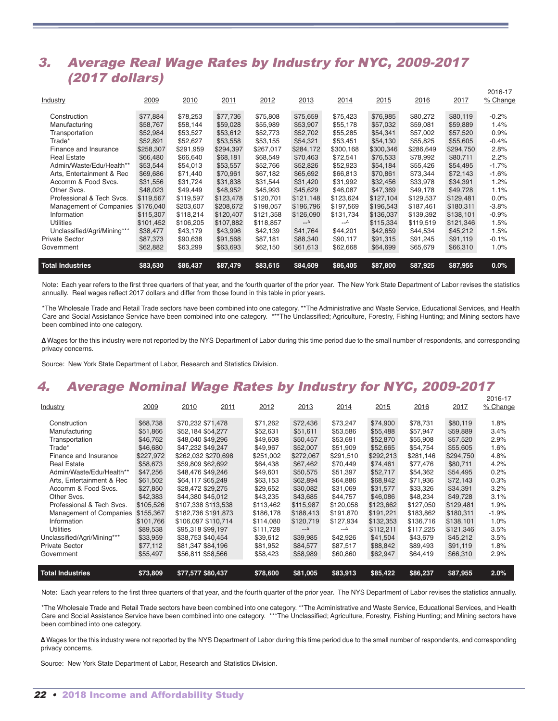## 3. Average Real Wage Rates by Industry for NYC, 2009-2017 (2017 dollars)

| <b>Total Industries</b>     | \$83,630  | \$86,437  | \$87,479  | \$83,615  | \$84,609  | \$86,405  | \$87,800  | \$87,925  | \$87,955  | 0.0%        |
|-----------------------------|-----------|-----------|-----------|-----------|-----------|-----------|-----------|-----------|-----------|-------------|
| Government                  | \$62,882  | \$63,299  | \$63,693  | \$62,150  | \$61,613  | \$62,668  | \$64,699  | \$65,679  | \$66,310  | 1.0%        |
| <b>Private Sector</b>       | \$87,373  | \$90,638  | \$91,568  | \$87,181  | \$88,340  | \$90,117  | \$91,315  | \$91,245  | \$91,119  | $-0.1%$     |
| Unclassified/Agri/Mining*** | \$38,477  | \$43,179  | \$43,996  | \$42,139  | \$41,764  | \$44,201  | \$42,659  | \$44,534  | \$45,212  | 1.5%        |
| <b>Utilities</b>            | \$101,452 | \$106,205 | \$107,882 | \$118,857 | $ \Delta$ | Δ__       | \$115,334 | \$119,519 | \$121.346 | 1.5%        |
| Information                 | \$115,307 | \$118,214 | \$120,407 | \$121,358 | \$126,090 | \$131,734 | \$136,037 | \$139,392 | \$138,101 | $-0.9%$     |
| Management of Companies     | \$176,040 | \$203,607 | \$208,672 | \$198,057 | \$196,796 | \$197,569 | \$196,543 | \$187,461 | \$180,311 | $-3.8%$     |
| Professional & Tech Svcs.   | \$119,567 | \$119,597 | \$123,478 | \$120,701 | \$121,148 | \$123,624 | \$127,104 | \$129,537 | \$129,481 | 0.0%        |
| Other Svcs.                 | \$48,023  | \$49,449  | \$48,952  | \$45,993  | \$45,629  | \$46,087  | \$47,369  | \$49,178  | \$49,728  | 1.1%        |
| Accomm & Food Svcs.         | \$31,556  | \$31,724  | \$31,838  | \$31,544  | \$31,420  | \$31,992  | \$32,456  | \$33,978  | \$34,391  | 1.2%        |
| Arts, Entertainment & Rec   | \$69,686  | \$71,440  | \$70,961  | \$67,182  | \$65,692  | \$66,813  | \$70,861  | \$73,344  | \$72,143  | $-1.6%$     |
| Admin/Waste/Edu/Health**    | \$53,544  | \$54,013  | \$53,557  | \$52,766  | \$52,826  | \$52,923  | \$54,184  | \$55,426  | \$54,495  | $-1.7%$     |
| <b>Real Estate</b>          | \$66,480  | \$66,640  | \$68,181  | \$68,549  | \$70,463  | \$72,541  | \$76,533  | \$78,992  | \$80,711  | 2.2%        |
| Finance and Insurance       | \$258,307 | \$291,959 | \$294,397 | \$267,017 | \$284,172 | \$300,168 | \$300,346 | \$286,649 | \$294,750 | 2.8%        |
| Trade*                      | \$52,891  | \$52,627  | \$53,558  | \$53,155  | \$54,321  | \$53,451  | \$54,130  | \$55,825  | \$55,605  | $-0.4%$     |
| Transportation              | \$52,984  | \$53,527  | \$53,612  | \$52,773  | \$52,702  | \$55,285  | \$54,341  | \$57,002  | \$57,520  | 0.9%        |
| Manufacturing               | \$58,767  | \$58,144  | \$59,028  | \$55,989  | \$53,907  | \$55,178  | \$57,032  | \$59,081  | \$59,889  | 1.4%        |
| Construction                | \$77,884  | \$78,253  | \$77,736  | \$75,808  | \$75,659  | \$75,423  | \$76,985  | \$80,272  | \$80,119  | $-0.2%$     |
| Industry                    | 2009      | 2010      | 2011      | 2012      | 2013      | 2014      | 2015      | 2016      | 2017      | % Change    |
|                             |           |           |           |           |           |           |           |           |           | $2010 - 17$ |

2016-17

Note: Each year refers to the first three quarters of that year, and the fourth quarter of the prior year. The New York State Department of Labor revises the statistics annually. Real wages reflect 2017 dollars and differ from those found in this table in prior years.

\*The Wholesale Trade and Retail Trade sectors have been combined into one category. \*\*The Administrative and Waste Service, Educational Services, and Health Care and Social Assistance Service have been combined into one category. \*\*\*The Unclassified; Agriculture, Forestry, Fishing Hunting; and Mining sectors have been combined into one category.

**∆** Wages for the this industry were not reported by the NYS Department of Labor during this time period due to the small number of respondents, and corresponding privacy concerns.

Source: New York State Department of Labor, Research and Statistics Division.

## 4. Average Nominal Wage Rates by Industry for NYC, 2009-2017

| Total Industries            | \$73,809  | \$77,577 \$80,437   |      | \$78,600  | \$81,005  | \$83,913  | \$85,422  | \$86,237  | \$87,955  | 2.0%     |
|-----------------------------|-----------|---------------------|------|-----------|-----------|-----------|-----------|-----------|-----------|----------|
| Government                  | \$55,497  | \$56,811 \$58,566   |      | \$58,423  | \$58,989  | \$60,860  | \$62,947  | \$64,419  | \$66,310  | 2.9%     |
| <b>Private Sector</b>       | \$77,112  | \$81,347 \$84,196   |      | \$81,952  | \$84,577  | \$87,517  | \$88,842  | \$89,493  | \$91,119  | 1.8%     |
| Unclassified/Agri/Mining*** | \$33,959  | \$38,753 \$40,454   |      | \$39,612  | \$39,985  | \$42,926  | \$41,504  | \$43,679  | \$45,212  | 3.5%     |
| <b>Utilities</b>            | \$89,538  | \$95,318 \$99,197   |      | \$111,728 | $ \Delta$ | $-\Delta$ | \$112,211 | \$117,225 | \$121,346 | 3.5%     |
| Information                 | \$101,766 | \$106,097 \$110,714 |      | \$114,080 | \$120,719 | \$127,934 | \$132,353 | \$136,716 | \$138,101 | 1.0%     |
| Management of Companies     | \$155,367 | \$182,736 \$191,873 |      | \$186,178 | \$188,413 | \$191,870 | \$191,221 | \$183,862 | \$180,311 | $-1.9%$  |
| Professional & Tech Sycs.   | \$105,526 | \$107,338 \$113,538 |      | \$113,462 | \$115,987 | \$120,058 | \$123,662 | \$127,050 | \$129,481 | 1.9%     |
| Other Svcs.                 | \$42,383  | \$44,380 \$45,012   |      | \$43,235  | \$43,685  | \$44,757  | \$46,086  | \$48,234  | \$49,728  | 3.1%     |
| Accomm & Food Svcs.         | \$27,850  | \$28,472 \$29,275   |      | \$29,652  | \$30,082  | \$31,069  | \$31.577  | \$33,326  | \$34.391  | 3.2%     |
| Arts, Entertainment & Rec   | \$61,502  | \$64.117 \$65.249   |      | \$63,153  | \$62,894  | \$64,886  | \$68,942  | \$71.936  | \$72,143  | 0.3%     |
| Admin/Waste/Edu/Health**    | \$47,256  | \$48,476 \$49,246   |      | \$49,601  | \$50,575  | \$51,397  | \$52,717  | \$54,362  | \$54,495  | 0.2%     |
| <b>Real Estate</b>          | \$58,673  | \$59,809 \$62,692   |      | \$64,438  | \$67,462  | \$70,449  | \$74,461  | \$77,476  | \$80,711  | 4.2%     |
| Finance and Insurance       | \$227,972 | \$262.032 \$270.698 |      | \$251,002 | \$272,067 | \$291,510 | \$292,213 | \$281,146 | \$294,750 | 4.8%     |
| Trade*                      | \$46,680  | \$47,232 \$49,247   |      | \$49,967  | \$52,007  | \$51,909  | \$52,665  | \$54,754  | \$55,605  | 1.6%     |
| Transportation              | \$46,762  | \$48,040 \$49,296   |      | \$49,608  | \$50,457  | \$53,691  | \$52,870  | \$55,908  | \$57,520  | 2.9%     |
| Manufacturing               | \$51,866  | \$52,184 \$54,277   |      | \$52,631  | \$51,611  | \$53,586  | \$55,488  | \$57,947  | \$59,889  | 3.4%     |
| Construction                | \$68,738  | \$70,232 \$71,478   |      | \$71,262  | \$72,436  | \$73,247  | \$74,900  | \$78,731  | \$80,119  | 1.8%     |
| Industry                    | 2009      | 2010                | 2011 | 2012      | 2013      | 2014      | 2015      | 2016      | 2017      | % Change |
|                             |           |                     |      |           |           |           |           |           |           | 2016-17  |

Note: Each year refers to the first three quarters of that year, and the fourth quarter of the prior year. The NYS Department of Labor revises the statistics annually.

\*The Wholesale Trade and Retail Trade sectors have been combined into one category. \*\*The Administrative and Waste Service, Educational Services, and Health Care and Social Assistance Service have been combined into one category. \*\*\*The Unclassified; Agriculture, Forestry, Fishing Hunting; and Mining sectors have been combined into one category.

**∆** Wages for the this industry were not reported by the NYS Department of Labor during this time period due to the small number of respondents, and corresponding privacy concerns.

Source: New York State Department of Labor, Research and Statistics Division.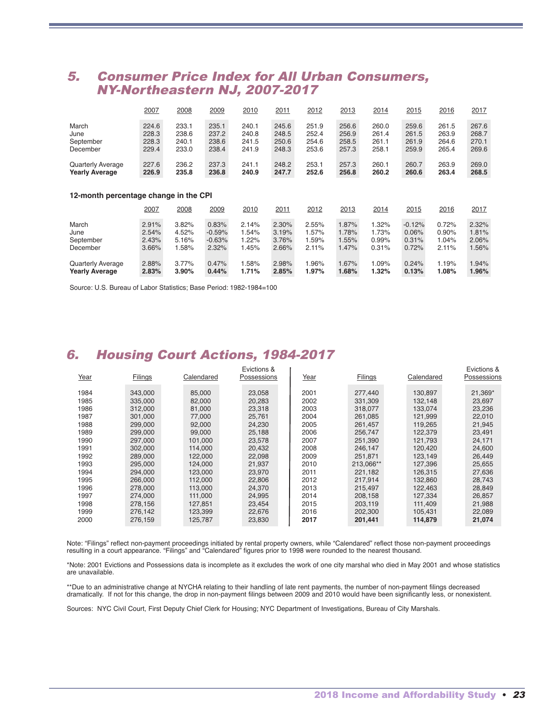## 5. Consumer Price Index for All Urban Consumers, NY-Northeastern NJ, 2007-2017

|                                       | 2007  | 2008     | 2009     | 2010  | 2011     | 2012  | 2013  | 2014  | 2015     | 2016  | 2017  |  |
|---------------------------------------|-------|----------|----------|-------|----------|-------|-------|-------|----------|-------|-------|--|
| March                                 | 224.6 | 233.1    | 235.1    | 240.1 | 245.6    | 251.9 | 256.6 | 260.0 | 259.6    | 261.5 | 267.6 |  |
| June                                  | 228.3 | 238.6    | 237.2    | 240.8 | 248.5    | 252.4 | 256.9 | 261.4 | 261.5    | 263.9 | 268.7 |  |
| September                             | 228.3 | 240.1    | 238.6    | 241.5 | 250.6    | 254.6 | 258.5 | 261.1 | 261.9    | 264.6 | 270.1 |  |
| December                              | 229.4 | 233.0    | 238.4    | 241.9 | 248.3    | 253.6 | 257.3 | 258.1 | 259.9    | 265.4 | 269.6 |  |
| <b>Quarterly Average</b>              | 227.6 | 236.2    | 237.3    | 241.1 | 248.2    | 253.1 | 257.3 | 260.1 | 260.7    | 263.9 | 269.0 |  |
| <b>Yearly Average</b>                 | 226.9 | 235.8    | 236.8    | 240.9 | 247.7    | 252.6 | 256.8 | 260.2 | 260.6    | 263.4 | 268.5 |  |
| 12-month percentage change in the CPI |       |          |          |       |          |       |       |       |          |       |       |  |
|                                       | 2007  | 2008     | 2009     | 2010  | 2011     | 2012  | 2013  | 2014  | 2015     | 2016  | 2017  |  |
| March                                 | 2.91% | 3.82%    | 0.83%    | 2.14% | $2.30\%$ | 2.55% | 1.87% | 1.32% | $-0.12%$ | 0.72% | 2.32% |  |
| June                                  | 2.54% | 4.52%    | $-0.59%$ | 1.54% | 3.19%    | 1.57% | 1.78% | 1.73% | 0.06%    | 0.90% | 1.81% |  |
| September                             | 2.43% | 5.16%    | $-0.63%$ | 1.22% | 3.76%    | 1.59% | 1.55% | 0.99% | 0.31%    | 1.04% | 2.06% |  |
| December                              | 3.66% | 1.58%    | 2.32%    | 1.45% | 2.66%    | 2.11% | 1.47% | 0.31% | 0.72%    | 2.11% | 1.56% |  |
| <b>Quarterly Average</b>              | 2.88% | 3.77%    | 0.47%    | 1.58% | 2.98%    | 1.96% | 1.67% | 1.09% | 0.24%    | 1.19% | 1.94% |  |
| <b>Yearly Average</b>                 | 2.83% | $3.90\%$ | 0.44%    | 1.71% | 2.85%    | 1.97% | 1.68% | 1.32% | 0.13%    | 1.08% | 1.96% |  |

Source: U.S. Bureau of Labor Statistics; Base Period: 1982-1984=100

## 6. Housing Court Actions, 1984-2017

|      |                |            | Evictions & |      |                |            | Evictions & |
|------|----------------|------------|-------------|------|----------------|------------|-------------|
| Year | <b>Filings</b> | Calendared | Possessions | Year | <b>Filings</b> | Calendared | Possessions |
|      |                |            |             |      |                |            |             |
| 1984 | 343,000        | 85,000     | 23,058      | 2001 | 277,440        | 130,897    | 21,369*     |
| 1985 | 335,000        | 82,000     | 20,283      | 2002 | 331,309        | 132,148    | 23,697      |
| 1986 | 312,000        | 81,000     | 23.318      | 2003 | 318,077        | 133.074    | 23,236      |
| 1987 | 301,000        | 77,000     | 25,761      | 2004 | 261,085        | 121,999    | 22,010      |
| 1988 | 299,000        | 92,000     | 24,230      | 2005 | 261.457        | 119.265    | 21,945      |
| 1989 | 299,000        | 99,000     | 25,188      | 2006 | 256,747        | 122,379    | 23,491      |
| 1990 | 297,000        | 101,000    | 23,578      | 2007 | 251,390        | 121,793    | 24,171      |
| 1991 | 302,000        | 114,000    | 20.432      | 2008 | 246.147        | 120.420    | 24,600      |
| 1992 | 289,000        | 122,000    | 22.098      | 2009 | 251.871        | 123,149    | 26,449      |
| 1993 | 295,000        | 124.000    | 21.937      | 2010 | 213,066**      | 127.396    | 25,655      |
| 1994 | 294,000        | 123,000    | 23,970      | 2011 | 221,182        | 126,315    | 27,636      |
| 1995 | 266,000        | 112,000    | 22,806      | 2012 | 217,914        | 132,860    | 28,743      |
| 1996 | 278,000        | 113,000    | 24.370      | 2013 | 215.497        | 122,463    | 28.849      |
| 1997 | 274,000        | 111.000    | 24.995      | 2014 | 208,158        | 127.334    | 26,857      |
| 1998 | 278,156        | 127.851    | 23,454      | 2015 | 203,119        | 111,409    | 21,988      |
| 1999 | 276.142        | 123.399    | 22.676      | 2016 | 202.300        | 105.431    | 22.089      |
| 2000 | 276,159        | 125,787    | 23,830      | 2017 | 201,441        | 114,879    | 21,074      |

Note: "Filings" reflect non-payment proceedings initiated by rental property owners, while "Calendared" reflect those non-payment proceedings resulting in a court appearance. "Filings" and "Calendared" figures prior to 1998 were rounded to the nearest thousand.

\*Note: 2001 Evictions and Possessions data is incomplete as it excludes the work of one city marshal who died in May 2001 and whose statistics are unavailable.

\*\*Due to an administrative change at NYCHA relating to their handling of late rent payments, the number of non-payment filings decreased dramatically. If not for this change, the drop in non-payment filings between 2009 and 2010 would have been significantly less, or nonexistent.

Sources: NYC Civil Court, First Deputy Chief Clerk for Housing; NYC Department of Investigations, Bureau of City Marshals.